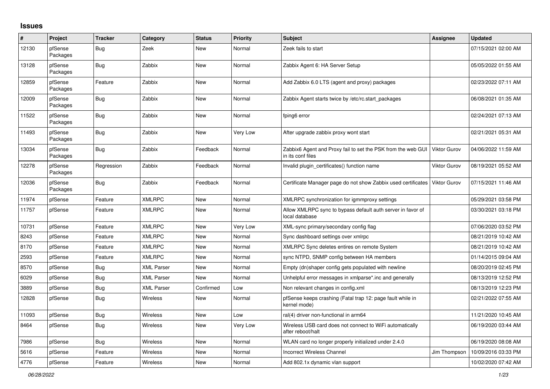## **Issues**

| #     | Project             | <b>Tracker</b> | Category          | <b>Status</b> | <b>Priority</b> | <b>Subject</b>                                                                    | <b>Assignee</b>     | <b>Updated</b>      |
|-------|---------------------|----------------|-------------------|---------------|-----------------|-----------------------------------------------------------------------------------|---------------------|---------------------|
| 12130 | pfSense<br>Packages | Bug            | Zeek              | New           | Normal          | Zeek fails to start                                                               |                     | 07/15/2021 02:00 AM |
| 13128 | pfSense<br>Packages | Bug            | Zabbix            | <b>New</b>    | Normal          | Zabbix Agent 6: HA Server Setup                                                   |                     | 05/05/2022 01:55 AM |
| 12859 | pfSense<br>Packages | Feature        | Zabbix            | <b>New</b>    | Normal          | Add Zabbix 6.0 LTS (agent and proxy) packages                                     |                     | 02/23/2022 07:11 AM |
| 12009 | pfSense<br>Packages | Bug            | Zabbix            | <b>New</b>    | Normal          | Zabbix Agent starts twice by /etc/rc.start packages                               |                     | 06/08/2021 01:35 AM |
| 11522 | pfSense<br>Packages | Bug            | Zabbix            | <b>New</b>    | Normal          | fping6 error                                                                      |                     | 02/24/2021 07:13 AM |
| 11493 | pfSense<br>Packages | Bug            | Zabbix            | <b>New</b>    | Very Low        | After upgrade zabbix proxy wont start                                             |                     | 02/21/2021 05:31 AM |
| 13034 | pfSense<br>Packages | Bug            | Zabbix            | Feedback      | Normal          | Zabbix6 Agent and Proxy fail to set the PSK from the web GUI<br>in its conf files | <b>Viktor Gurov</b> | 04/06/2022 11:59 AM |
| 12278 | pfSense<br>Packages | Regression     | Zabbix            | Feedback      | Normal          | Invalid plugin certificates() function name                                       | Viktor Gurov        | 08/19/2021 05:52 AM |
| 12036 | pfSense<br>Packages | Bug            | Zabbix            | Feedback      | Normal          | Certificate Manager page do not show Zabbix used certificates                     | <b>Viktor Gurov</b> | 07/15/2021 11:46 AM |
| 11974 | pfSense             | Feature        | <b>XMLRPC</b>     | New           | Normal          | XMLRPC synchronization for igmmproxy settings                                     |                     | 05/29/2021 03:58 PM |
| 11757 | pfSense             | Feature        | <b>XMLRPC</b>     | <b>New</b>    | Normal          | Allow XMLRPC sync to bypass default auth server in favor of<br>local database     |                     | 03/30/2021 03:18 PM |
| 10731 | pfSense             | Feature        | <b>XMLRPC</b>     | <b>New</b>    | Very Low        | XML-sync primary/secondary config flag                                            |                     | 07/06/2020 03:52 PM |
| 8243  | pfSense             | Feature        | <b>XMLRPC</b>     | <b>New</b>    | Normal          | Sync dashboard settings over xmlrpc                                               |                     | 08/21/2019 10:42 AM |
| 8170  | pfSense             | Feature        | <b>XMLRPC</b>     | New           | Normal          | XMLRPC Sync deletes entires on remote System                                      |                     | 08/21/2019 10:42 AM |
| 2593  | pfSense             | Feature        | <b>XMLRPC</b>     | New           | Normal          | sync NTPD, SNMP config between HA members                                         |                     | 01/14/2015 09:04 AM |
| 8570  | pfSense             | Bug            | <b>XML Parser</b> | New           | Normal          | Empty (dn)shaper config gets populated with newline                               |                     | 08/20/2019 02:45 PM |
| 6029  | pfSense             | Bug            | <b>XML Parser</b> | <b>New</b>    | Normal          | Unhelpful error messages in xmlparse* inc and generally                           |                     | 08/13/2019 12:52 PM |
| 3889  | pfSense             | Bug            | <b>XML Parser</b> | Confirmed     | Low             | Non relevant changes in config.xml                                                |                     | 08/13/2019 12:23 PM |
| 12828 | pfSense             | <b>Bug</b>     | <b>Wireless</b>   | New           | Normal          | pfSense keeps crashing (Fatal trap 12: page fault while in<br>kernel mode)        |                     | 02/21/2022 07:55 AM |
| 11093 | pfSense             | Bug            | Wireless          | New           | Low             | ral(4) driver non-functional in arm64                                             |                     | 11/21/2020 10:45 AM |
| 8464  | pfSense             | Bug            | Wireless          | New           | Very Low        | Wireless USB card does not connect to WiFi automatically<br>after reboot/halt     |                     | 06/19/2020 03:44 AM |
| 7986  | pfSense             | Bug            | <b>Wireless</b>   | New           | Normal          | WLAN card no longer properly initialized under 2.4.0                              |                     | 06/19/2020 08:08 AM |
| 5616  | pfSense             | Feature        | Wireless          | New           | Normal          | <b>Incorrect Wireless Channel</b>                                                 | Jim Thompson        | 10/09/2016 03:33 PM |
| 4776  | pfSense             | Feature        | Wireless          | New           | Normal          | Add 802.1x dynamic vlan support                                                   |                     | 10/02/2020 07:42 AM |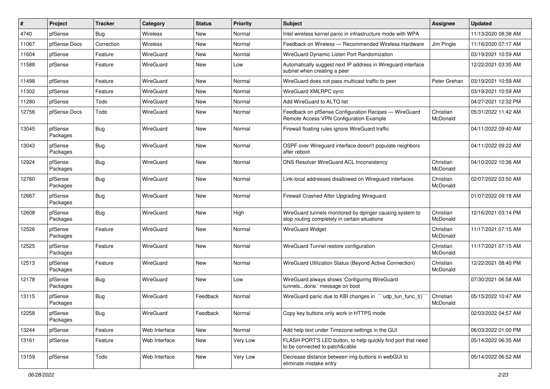| $\sharp$ | Project             | <b>Tracker</b> | Category        | <b>Status</b> | <b>Priority</b> | <b>Subject</b>                                                                                            | <b>Assignee</b>       | <b>Updated</b>      |
|----------|---------------------|----------------|-----------------|---------------|-----------------|-----------------------------------------------------------------------------------------------------------|-----------------------|---------------------|
| 4740     | pfSense             | Bug            | <b>Wireless</b> | New           | Normal          | Intel wireless kernel panic in infrastructure mode with WPA                                               |                       | 11/13/2020 08:38 AM |
| 11067    | pfSense Docs        | Correction     | <b>Wireless</b> | <b>New</b>    | Normal          | Feedback on Wireless - Recommended Wireless Hardware                                                      | Jim Pingle            | 11/16/2020 07:17 AM |
| 11604    | pfSense             | Feature        | WireGuard       | New           | Normal          | WireGuard Dynamic Listen Port Randomization                                                               |                       | 03/19/2021 10:59 AM |
| 11588    | pfSense             | Feature        | WireGuard       | New           | Low             | Automatically suggest next IP address in Wireguard interface<br>subnet when creating a peer               |                       | 12/22/2021 03:35 AM |
| 11498    | pfSense             | Feature        | WireGuard       | <b>New</b>    | Normal          | WireGuard does not pass multicast traffic to peer                                                         | Peter Grehan          | 03/19/2021 10:59 AM |
| 11302    | pfSense             | Feature        | WireGuard       | New           | Normal          | WireGuard XMLRPC sync                                                                                     |                       | 03/19/2021 10:59 AM |
| 11280    | pfSense             | Todo           | WireGuard       | <b>New</b>    | Normal          | Add WireGuard to ALTQ list                                                                                |                       | 04/27/2021 12:32 PM |
| 12756    | pfSense Docs        | Todo           | WireGuard       | New           | Normal          | Feedback on pfSense Configuration Recipes - WireGuard<br>Remote Access VPN Configuration Example          | Christian<br>McDonald | 05/31/2022 11:42 AM |
| 13045    | pfSense<br>Packages | Bug            | WireGuard       | New           | Normal          | Firewall floating rules ignore WireGuard traffic                                                          |                       | 04/11/2022 09:40 AM |
| 13043    | pfSense<br>Packages | Bug            | WireGuard       | New           | Normal          | OSPF over Wireguard interface doesn't populate neighbors<br>after reboot                                  |                       | 04/11/2022 09:22 AM |
| 12924    | pfSense<br>Packages | Bug            | WireGuard       | <b>New</b>    | Normal          | DNS Resolver WireGuard ACL Inconsistency                                                                  | Christian<br>McDonald | 04/10/2022 10:36 AM |
| 12760    | pfSense<br>Packages | Bug            | WireGuard       | <b>New</b>    | Normal          | Link-local addresses disallowed on Wireguard interfaces                                                   | Christian<br>McDonald | 02/07/2022 03:50 AM |
| 12667    | pfSense<br>Packages | Bug            | WireGuard       | <b>New</b>    | Normal          | Firewall Crashed After Upgrading Wireguard                                                                |                       | 01/07/2022 09:18 AM |
| 12608    | pfSense<br>Packages | Bug            | WireGuard       | New           | High            | WireGuard tunnels monitored by dpinger causing system to<br>stop routing completely in certain situations | Christian<br>McDonald | 12/16/2021 03:14 PM |
| 12526    | pfSense<br>Packages | Feature        | WireGuard       | <b>New</b>    | Normal          | <b>WireGuard Widget</b>                                                                                   | Christian<br>McDonald | 11/17/2021 07:15 AM |
| 12525    | pfSense<br>Packages | Feature        | WireGuard       | New           | Normal          | WireGuard Tunnel restore configuration                                                                    | Christian<br>McDonald | 11/17/2021 07:15 AM |
| 12513    | pfSense<br>Packages | Feature        | WireGuard       | New           | Normal          | WireGuard Utilization Status (Beyond Active Connection)                                                   | Christian<br>McDonald | 12/22/2021 08:40 PM |
| 12178    | pfSense<br>Packages | Bug            | WireGuard       | New           | Low             | WireGuard always shows 'Configuring WireGuard<br>tunnelsdone.' message on boot                            |                       | 07/30/2021 06:58 AM |
| 13115    | pfSense<br>Packages | Bug            | WireGuard       | Feedback      | Normal          | WireGuard panic due to KBI changes in "'udp_tun_func_t()"                                                 | Christian<br>McDonald | 05/15/2022 10:47 AM |
| 12258    | pfSense<br>Packages | Bug            | WireGuard       | Feedback      | Normal          | Copy key buttons only work in HTTPS mode                                                                  |                       | 02/03/2022 04:57 AM |
| 13244    | pfSense             | Feature        | Web Interface   | New           | Normal          | Add help text under Timezone settings in the GUI                                                          |                       | 06/03/2022 01:00 PM |
| 13161    | pfSense             | Feature        | Web Interface   | New           | Very Low        | FLASH PORT'S LED button, to help quickly find port that need<br>to be connected to patch&cable            |                       | 05/14/2022 06:35 AM |
| 13159    | pfSense             | Todo           | Web Interface   | New           | Very Low        | Decrease distance between img-buttons in webGUI to<br>eliminate mistake entry                             |                       | 05/14/2022 06:52 AM |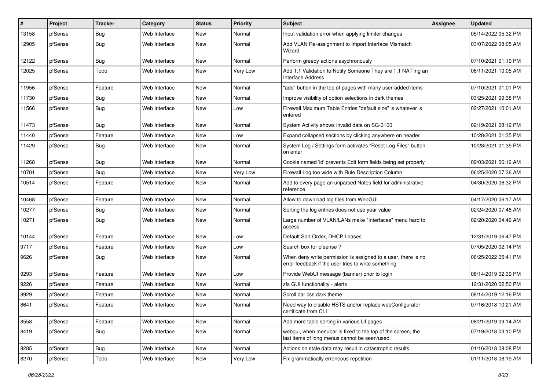| #     | Project | <b>Tracker</b> | Category      | <b>Status</b> | <b>Priority</b> | Subject                                                                                                              | Assignee | <b>Updated</b>      |
|-------|---------|----------------|---------------|---------------|-----------------|----------------------------------------------------------------------------------------------------------------------|----------|---------------------|
| 13158 | pfSense | Bug            | Web Interface | New           | Normal          | Input validation error when applying limiter changes                                                                 |          | 05/14/2022 05:32 PM |
| 12905 | pfSense | Bug            | Web Interface | New           | Normal          | Add VLAN Re-assignment to Import Interface Mismatch<br>Wizard                                                        |          | 03/07/2022 08:05 AM |
| 12122 | pfSense | Bug            | Web Interface | New           | Normal          | Perform greedy actions asychronously                                                                                 |          | 07/10/2021 01:10 PM |
| 12025 | pfSense | Todo           | Web Interface | New           | Very Low        | Add 1:1 Validation to Notify Someone They are 1:1 NAT'ing an<br><b>Interface Address</b>                             |          | 06/11/2021 10:05 AM |
| 11956 | pfSense | Feature        | Web Interface | New           | Normal          | "add" button in the top of pages with many user-added items                                                          |          | 07/10/2021 01:01 PM |
| 11730 | pfSense | Bug            | Web Interface | New           | Normal          | Improve visibility of option selections in dark themes                                                               |          | 03/25/2021 09:38 PM |
| 11566 | pfSense | Bug            | Web Interface | New           | Low             | Firewall Maximum Table Entries "default size" is whatever is<br>entered                                              |          | 02/27/2021 10:01 AM |
| 11473 | pfSense | Bug            | Web Interface | New           | Normal          | System Activity shows invalid data on SG-3100                                                                        |          | 02/19/2021 08:12 PM |
| 11440 | pfSense | Feature        | Web Interface | New           | Low             | Expand collapsed sections by clicking anywhere on header                                                             |          | 10/28/2021 01:35 PM |
| 11429 | pfSense | Bug            | Web Interface | New           | Normal          | System Log / Settings form activates "Reset Log Files" button<br>on enter                                            |          | 10/28/2021 01:35 PM |
| 11268 | pfSense | Bug            | Web Interface | New           | Normal          | Cookie named 'id' prevents Edit form fields being set properly                                                       |          | 09/03/2021 06:16 AM |
| 10701 | pfSense | Bug            | Web Interface | New           | Very Low        | Firewall Log too wide with Rule Description Column                                                                   |          | 06/25/2020 07:36 AM |
| 10514 | pfSense | Feature        | Web Interface | New           | Normal          | Add to every page an unparsed Notes field for administrative<br>reference                                            |          | 04/30/2020 06:32 PM |
| 10468 | pfSense | Feature        | Web Interface | New           | Normal          | Allow to download log files from WebGUI                                                                              |          | 04/17/2020 06:17 AM |
| 10277 | pfSense | <b>Bug</b>     | Web Interface | New           | Normal          | Sorting the log entries does not use year value                                                                      |          | 02/24/2020 07:46 AM |
| 10271 | pfSense | Bug            | Web Interface | New           | Normal          | Large number of VLAN/LANs make "Interfaces" menu hard to<br>access                                                   |          | 02/20/2020 04:46 AM |
| 10144 | pfSense | Feature        | Web Interface | New           | Low             | Default Sort Order, DHCP Leases                                                                                      |          | 12/31/2019 06:47 PM |
| 9717  | pfSense | Feature        | Web Interface | New           | Low             | Search box for pfsense ?                                                                                             |          | 07/05/2020 02:14 PM |
| 9626  | pfSense | Bug            | Web Interface | New           | Normal          | When deny write permission is assigned to a user, there is no<br>error feedback if the user tries to write something |          | 06/25/2022 05:41 PM |
| 9293  | pfSense | Feature        | Web Interface | New           | Low             | Provide WebUI message (banner) prior to login                                                                        |          | 08/14/2019 02:39 PM |
| 9226  | pfSense | Feature        | Web Interface | New           | Normal          | zfs GUI functionality - alerts                                                                                       |          | 12/31/2020 02:50 PM |
| 8929  | pfSense | Feature        | Web Interface | New           | Normal          | Scroll bar css dark theme                                                                                            |          | 08/14/2019 12:16 PM |
| 8641  | pfSense | Feature        | Web Interface | New           | Normal          | Need way to disable HSTS and/or replace webConfigurator<br>certificate from CLI                                      |          | 07/16/2018 10:21 AM |
| 8558  | pfSense | Feature        | Web Interface | New           | Normal          | Add more table sorting in various UI pages                                                                           |          | 08/21/2019 09:14 AM |
| 8419  | pfSense | <b>Bug</b>     | Web Interface | New           | Normal          | webgui, when menubar is fixed to the top of the screen, the<br>last items of long menus cannot be seen/used.         |          | 07/19/2018 03:10 PM |
| 8285  | pfSense | <b>Bug</b>     | Web Interface | New           | Normal          | Actions on stale data may result in catastrophic results                                                             |          | 01/16/2018 08:08 PM |
| 8270  | pfSense | Todo           | Web Interface | New           | Very Low        | Fix grammatically erroneous repetition                                                                               |          | 01/11/2018 08:19 AM |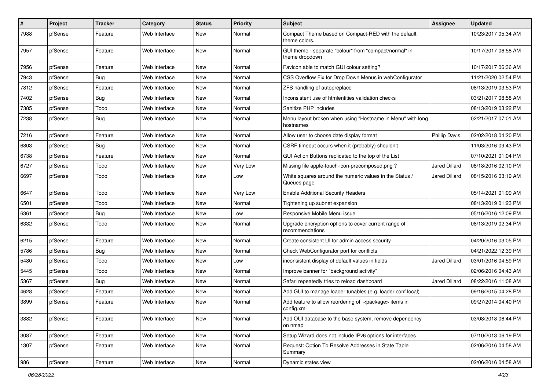| $\vert$ # | Project | Tracker    | Category      | <b>Status</b> | <b>Priority</b> | <b>Subject</b>                                                                 | <b>Assignee</b>      | <b>Updated</b>      |
|-----------|---------|------------|---------------|---------------|-----------------|--------------------------------------------------------------------------------|----------------------|---------------------|
| 7988      | pfSense | Feature    | Web Interface | New           | Normal          | Compact Theme based on Compact-RED with the default<br>theme colors.           |                      | 10/23/2017 05:34 AM |
| 7957      | pfSense | Feature    | Web Interface | New           | Normal          | GUI theme - separate "colour" from "compact/normal" in<br>theme dropdown       |                      | 10/17/2017 06:58 AM |
| 7956      | pfSense | Feature    | Web Interface | New           | Normal          | Favicon able to match GUI colour setting?                                      |                      | 10/17/2017 06:36 AM |
| 7943      | pfSense | <b>Bug</b> | Web Interface | New           | Normal          | CSS Overflow Fix for Drop Down Menus in webConfigurator                        |                      | 11/21/2020 02:54 PM |
| 7812      | pfSense | Feature    | Web Interface | New           | Normal          | ZFS handling of autopreplace                                                   |                      | 08/13/2019 03:53 PM |
| 7402      | pfSense | <b>Bug</b> | Web Interface | New           | Normal          | Inconsistent use of htmlentities validation checks                             |                      | 03/21/2017 08:58 AM |
| 7385      | pfSense | Todo       | Web Interface | New           | Normal          | Sanitize PHP includes                                                          |                      | 08/13/2019 03:22 PM |
| 7238      | pfSense | <b>Bug</b> | Web Interface | New           | Normal          | Menu layout broken when using "Hostname in Menu" with long<br>hostnames        |                      | 02/21/2017 07:01 AM |
| 7216      | pfSense | Feature    | Web Interface | New           | Normal          | Allow user to choose date display format                                       | <b>Phillip Davis</b> | 02/02/2018 04:20 PM |
| 6803      | pfSense | Bug        | Web Interface | New           | Normal          | CSRF timeout occurs when it (probably) shouldn't                               |                      | 11/03/2016 09:43 PM |
| 6738      | pfSense | Feature    | Web Interface | New           | Normal          | GUI Action Buttons replicated to the top of the List                           |                      | 07/10/2021 01:04 PM |
| 6727      | pfSense | Todo       | Web Interface | New           | Very Low        | Missing file apple-touch-icon-precomposed.png?                                 | <b>Jared Dillard</b> | 08/18/2016 02:10 PM |
| 6697      | pfSense | Todo       | Web Interface | New           | Low             | White squares around the numeric values in the Status /<br>Queues page         | <b>Jared Dillard</b> | 08/15/2016 03:19 AM |
| 6647      | pfSense | Todo       | Web Interface | New           | Very Low        | <b>Enable Additional Security Headers</b>                                      |                      | 05/14/2021 01:09 AM |
| 6501      | pfSense | Todo       | Web Interface | New           | Normal          | Tightening up subnet expansion                                                 |                      | 08/13/2019 01:23 PM |
| 6361      | pfSense | <b>Bug</b> | Web Interface | New           | Low             | Responsive Mobile Menu issue                                                   |                      | 05/16/2016 12:09 PM |
| 6332      | pfSense | Todo       | Web Interface | New           | Normal          | Upgrade encryption options to cover current range of<br>recommendations        |                      | 08/13/2019 02:34 PM |
| 6215      | pfSense | Feature    | Web Interface | New           | Normal          | Create consistent UI for admin access security                                 |                      | 04/20/2016 03:05 PM |
| 5786      | pfSense | <b>Bug</b> | Web Interface | New           | Normal          | Check WebConfigurator port for conflicts                                       |                      | 04/21/2022 12:39 PM |
| 5480      | pfSense | Todo       | Web Interface | New           | Low             | inconsistent display of default values in fields                               | Jared Dillard        | 03/01/2016 04:59 PM |
| 5445      | pfSense | Todo       | Web Interface | New           | Normal          | Improve banner for "background activity"                                       |                      | 02/06/2016 04:43 AM |
| 5367      | pfSense | <b>Bug</b> | Web Interface | New           | Normal          | Safari repeatedly tries to reload dashboard                                    | Jared Dillard        | 08/22/2016 11:08 AM |
| 4628      | pfSense | Feature    | Web Interface | New           | Normal          | Add GUI to manage loader tunables (e.g. loader.conf.local)                     |                      | 09/16/2015 04:28 PM |
| 3899      | pfSense | Feature    | Web Interface | New           | Normal          | Add feature to allow reordering of <package> items in<br/>config.xml</package> |                      | 09/27/2014 04:40 PM |
| 3882      | pfSense | Feature    | Web Interface | New           | Normal          | Add OUI database to the base system, remove dependency<br>on nmap              |                      | 03/08/2018 06:44 PM |
| 3087      | pfSense | Feature    | Web Interface | New           | Normal          | Setup Wizard does not include IPv6 options for interfaces                      |                      | 07/10/2013 06:19 PM |
| 1307      | pfSense | Feature    | Web Interface | New           | Normal          | Request: Option To Resolve Addresses in State Table<br>Summary                 |                      | 02/06/2016 04:58 AM |
| 986       | pfSense | Feature    | Web Interface | New           | Normal          | Dynamic states view                                                            |                      | 02/06/2016 04:58 AM |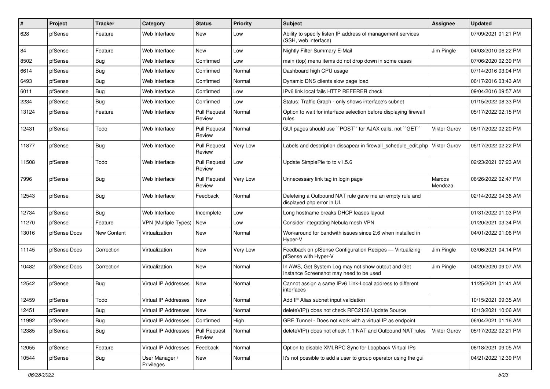| $\#$  | Project      | <b>Tracker</b>     | Category                     | <b>Status</b>                 | <b>Priority</b> | <b>Subject</b>                                                                                | <b>Assignee</b>   | <b>Updated</b>      |
|-------|--------------|--------------------|------------------------------|-------------------------------|-----------------|-----------------------------------------------------------------------------------------------|-------------------|---------------------|
| 628   | pfSense      | Feature            | Web Interface                | New                           | Low             | Ability to specify listen IP address of management services<br>(SSH, web interface)           |                   | 07/09/2021 01:21 PM |
| 84    | pfSense      | Feature            | Web Interface                | New                           | Low             | Nightly Filter Summary E-Mail                                                                 | Jim Pingle        | 04/03/2010 06:22 PM |
| 8502  | pfSense      | <b>Bug</b>         | Web Interface                | Confirmed                     | Low             | main (top) menu items do not drop down in some cases                                          |                   | 07/06/2020 02:39 PM |
| 6614  | pfSense      | <b>Bug</b>         | Web Interface                | Confirmed                     | Normal          | Dashboard high CPU usage                                                                      |                   | 07/14/2016 03:04 PM |
| 6493  | pfSense      | <b>Bug</b>         | Web Interface                | Confirmed                     | Normal          | Dynamic DNS clients slow page load                                                            |                   | 06/17/2016 03:43 AM |
| 6011  | pfSense      | <b>Bug</b>         | Web Interface                | Confirmed                     | Low             | IPv6 link local fails HTTP REFERER check                                                      |                   | 09/04/2016 09:57 AM |
| 2234  | pfSense      | Bug                | Web Interface                | Confirmed                     | Low             | Status: Traffic Graph - only shows interface's subnet                                         |                   | 01/15/2022 08:33 PM |
| 13124 | pfSense      | Feature            | Web Interface                | <b>Pull Request</b><br>Review | Normal          | Option to wait for interface selection before displaying firewall<br>rules                    |                   | 05/17/2022 02:15 PM |
| 12431 | pfSense      | Todo               | Web Interface                | <b>Pull Request</b><br>Review | Normal          | GUI pages should use "POST" for AJAX calls, not "GET"                                         | Viktor Gurov      | 05/17/2022 02:20 PM |
| 11877 | pfSense      | <b>Bug</b>         | Web Interface                | <b>Pull Request</b><br>Review | Very Low        | Labels and description dissapear in firewall_schedule_edit.php   Viktor Gurov                 |                   | 05/17/2022 02:22 PM |
| 11508 | pfSense      | Todo               | Web Interface                | <b>Pull Request</b><br>Review | Low             | Update SimplePie to to v1.5.6                                                                 |                   | 02/23/2021 07:23 AM |
| 7996  | pfSense      | <b>Bug</b>         | Web Interface                | <b>Pull Request</b><br>Review | Very Low        | Unnecessary link tag in login page                                                            | Marcos<br>Mendoza | 06/26/2022 02:47 PM |
| 12543 | pfSense      | <b>Bug</b>         | Web Interface                | Feedback                      | Normal          | Deleteing a Outbound NAT rule gave me an empty rule and<br>displayed php error in UI.         |                   | 02/14/2022 04:36 AM |
| 12734 | pfSense      | <b>Bug</b>         | Web Interface                | Incomplete                    | Low             | Long hostname breaks DHCP leases layout                                                       |                   | 01/31/2022 01:03 PM |
| 11270 | pfSense      | Feature            | <b>VPN</b> (Multiple Types)  | New                           | Low             | Consider integrating Nebula mesh VPN                                                          |                   | 01/20/2021 03:34 PM |
| 13016 | pfSense Docs | <b>New Content</b> | Virtualization               | New                           | Normal          | Workaround for bandwith issues since 2.6 when installed in<br>Hyper-V                         |                   | 04/01/2022 01:06 PM |
| 11145 | pfSense Docs | Correction         | Virtualization               | New                           | Very Low        | Feedback on pfSense Configuration Recipes - Virtualizing<br>pfSense with Hyper-V              | Jim Pingle        | 03/06/2021 04:14 PM |
| 10482 | pfSense Docs | Correction         | Virtualization               | New                           | Normal          | In AWS, Get System Log may not show output and Get<br>Instance Screenshot may need to be used | Jim Pingle        | 04/20/2020 09:07 AM |
| 12542 | pfSense      | <b>Bug</b>         | Virtual IP Addresses         | New                           | Normal          | Cannot assign a same IPv6 Link-Local address to different<br>interfaces                       |                   | 11/25/2021 01:41 AM |
| 12459 | pfSense      | Todo               | Virtual IP Addresses         | New                           | Normal          | Add IP Alias subnet input validation                                                          |                   | 10/15/2021 09:35 AM |
| 12451 | pfSense      | <b>Bug</b>         | Virtual IP Addresses         | New                           | Normal          | deleteVIP() does not check RFC2136 Update Source                                              |                   | 10/13/2021 10:06 AM |
| 11992 | pfSense      | <b>Bug</b>         | Virtual IP Addresses         | Confirmed                     | High            | GRE Tunnel - Does not work with a virtual IP as endpoint                                      |                   | 06/04/2021 01:16 AM |
| 12385 | pfSense      | Bug                | Virtual IP Addresses         | <b>Pull Request</b><br>Review | Normal          | deleteVIP() does not check 1:1 NAT and Outbound NAT rules                                     | Viktor Gurov      | 05/17/2022 02:21 PM |
| 12055 | pfSense      | Feature            | Virtual IP Addresses         | Feedback                      | Normal          | Option to disable XMLRPC Sync for Loopback Virtual IPs                                        |                   | 06/18/2021 09:05 AM |
| 10544 | pfSense      | <b>Bug</b>         | User Manager /<br>Privileges | New                           | Normal          | It's not possible to add a user to group operator using the gui                               |                   | 04/21/2022 12:39 PM |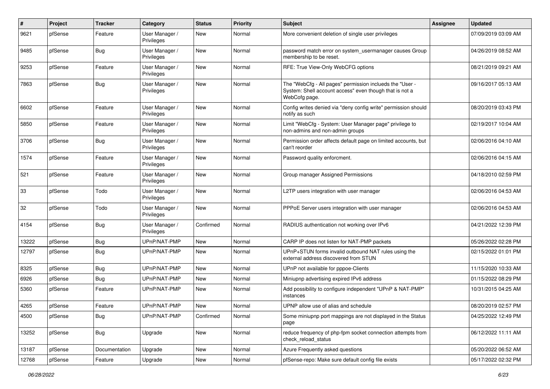| $\#$  | Project | <b>Tracker</b> | Category                     | <b>Status</b> | <b>Priority</b> | <b>Subject</b>                                                                                                                       | <b>Assignee</b> | <b>Updated</b>      |
|-------|---------|----------------|------------------------------|---------------|-----------------|--------------------------------------------------------------------------------------------------------------------------------------|-----------------|---------------------|
| 9621  | pfSense | Feature        | User Manager /<br>Privileges | New           | Normal          | More convenient deletion of single user privileges                                                                                   |                 | 07/09/2019 03:09 AM |
| 9485  | pfSense | <b>Bug</b>     | User Manager /<br>Privileges | New           | Normal          | password match error on system_usermanager causes Group<br>membership to be reset.                                                   |                 | 04/26/2019 08:52 AM |
| 9253  | pfSense | Feature        | User Manager /<br>Privileges | New           | Normal          | RFE: True View-Only WebCFG options                                                                                                   |                 | 08/21/2019 09:21 AM |
| 7863  | pfSense | <b>Bug</b>     | User Manager /<br>Privileges | New           | Normal          | The "WebCfg - All pages" permission inclueds the "User -<br>System: Shell account access" even though that is not a<br>WebCofg page. |                 | 09/16/2017 05:13 AM |
| 6602  | pfSense | Feature        | User Manager /<br>Privileges | <b>New</b>    | Normal          | Config writes denied via "deny config write" permission should<br>notify as such                                                     |                 | 08/20/2019 03:43 PM |
| 5850  | pfSense | Feature        | User Manager /<br>Privileges | <b>New</b>    | Normal          | Limit "WebCfg - System: User Manager page" privilege to<br>non-admins and non-admin groups                                           |                 | 02/19/2017 10:04 AM |
| 3706  | pfSense | Bug            | User Manager /<br>Privileges | New           | Normal          | Permission order affects default page on limited accounts, but<br>can't reorder                                                      |                 | 02/06/2016 04:10 AM |
| 1574  | pfSense | Feature        | User Manager /<br>Privileges | <b>New</b>    | Normal          | Password quality enforcment.                                                                                                         |                 | 02/06/2016 04:15 AM |
| 521   | pfSense | Feature        | User Manager /<br>Privileges | New           | Normal          | Group manager Assigned Permissions                                                                                                   |                 | 04/18/2010 02:59 PM |
| 33    | pfSense | Todo           | User Manager /<br>Privileges | New           | Normal          | L2TP users integration with user manager                                                                                             |                 | 02/06/2016 04:53 AM |
| 32    | pfSense | Todo           | User Manager /<br>Privileges | <b>New</b>    | Normal          | PPPoE Server users integration with user manager                                                                                     |                 | 02/06/2016 04:53 AM |
| 4154  | pfSense | <b>Bug</b>     | User Manager /<br>Privileges | Confirmed     | Normal          | RADIUS authentication not working over IPv6                                                                                          |                 | 04/21/2022 12:39 PM |
| 13222 | pfSense | <b>Bug</b>     | UPnP/NAT-PMP                 | <b>New</b>    | Normal          | CARP IP does not listen for NAT-PMP packets                                                                                          |                 | 05/26/2022 02:28 PM |
| 12797 | pfSense | <b>Bug</b>     | UPnP/NAT-PMP                 | New           | Normal          | UPnP+STUN forms invalid outbound NAT rules using the<br>external address discovered from STUN                                        |                 | 02/15/2022 01:01 PM |
| 8325  | pfSense | <b>Bug</b>     | UPnP/NAT-PMP                 | New           | Normal          | UPnP not available for pppoe-Clients                                                                                                 |                 | 11/15/2020 10:33 AM |
| 6926  | pfSense | Bug            | UPnP/NAT-PMP                 | New           | Normal          | Miniupnp advertising expired IPv6 address                                                                                            |                 | 01/15/2022 08:29 PM |
| 5360  | pfSense | Feature        | UPnP/NAT-PMP                 | New           | Normal          | Add possibility to configure independent "UPnP & NAT-PMP"<br>instances                                                               |                 | 10/31/2015 04:25 AM |
| 4265  | pfSense | Feature        | UPnP/NAT-PMP                 | New           | Normal          | UPNP allow use of alias and schedule                                                                                                 |                 | 08/20/2019 02:57 PM |
| 4500  | pfSense | <b>Bug</b>     | UPnP/NAT-PMP                 | Confirmed     | Normal          | Some miniupnp port mappings are not displayed in the Status<br>page                                                                  |                 | 04/25/2022 12:49 PM |
| 13252 | pfSense | <b>Bug</b>     | Upgrade                      | New           | Normal          | reduce frequency of php-fpm socket connection attempts from<br>check_reload_status                                                   |                 | 06/12/2022 11:11 AM |
| 13187 | pfSense | Documentation  | Upgrade                      | New           | Normal          | Azure Frequently asked questions                                                                                                     |                 | 05/20/2022 06:52 AM |
| 12768 | pfSense | Feature        | Upgrade                      | New           | Normal          | pfSense-repo: Make sure default config file exists                                                                                   |                 | 05/17/2022 02:32 PM |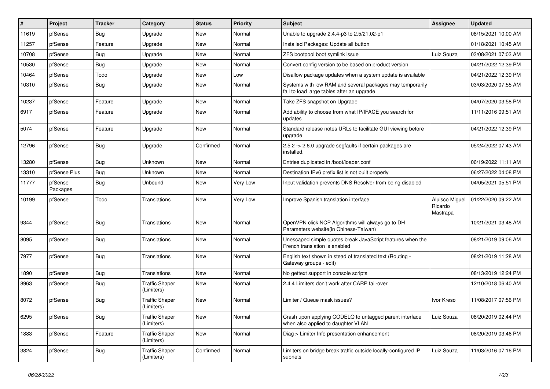| #     | Project             | <b>Tracker</b> | Category                            | <b>Status</b> | <b>Priority</b> | <b>Subject</b>                                                                                          | <b>Assignee</b>                       | <b>Updated</b>      |
|-------|---------------------|----------------|-------------------------------------|---------------|-----------------|---------------------------------------------------------------------------------------------------------|---------------------------------------|---------------------|
| 11619 | pfSense             | <b>Bug</b>     | Upgrade                             | New           | Normal          | Unable to upgrade 2.4.4-p3 to 2.5/21.02-p1                                                              |                                       | 08/15/2021 10:00 AM |
| 11257 | pfSense             | Feature        | Upgrade                             | <b>New</b>    | Normal          | Installed Packages: Update all button                                                                   |                                       | 01/18/2021 10:45 AM |
| 10708 | pfSense             | <b>Bug</b>     | Upgrade                             | New           | Normal          | ZFS bootpool boot symlink issue                                                                         | Luiz Souza                            | 03/08/2021 07:03 AM |
| 10530 | pfSense             | <b>Bug</b>     | Upgrade                             | <b>New</b>    | Normal          | Convert config version to be based on product version                                                   |                                       | 04/21/2022 12:39 PM |
| 10464 | pfSense             | Todo           | Upgrade                             | <b>New</b>    | Low             | Disallow package updates when a system update is available                                              |                                       | 04/21/2022 12:39 PM |
| 10310 | pfSense             | <b>Bug</b>     | Upgrade                             | <b>New</b>    | Normal          | Systems with low RAM and several packages may temporarily<br>fail to load large tables after an upgrade |                                       | 03/03/2020 07:55 AM |
| 10237 | pfSense             | Feature        | Upgrade                             | <b>New</b>    | Normal          | Take ZFS snapshot on Upgrade                                                                            |                                       | 04/07/2020 03:58 PM |
| 6917  | pfSense             | Feature        | Upgrade                             | New           | Normal          | Add ability to choose from what IP/IFACE you search for<br>updates                                      |                                       | 11/11/2016 09:51 AM |
| 5074  | pfSense             | Feature        | Upgrade                             | <b>New</b>    | Normal          | Standard release notes URLs to facilitate GUI viewing before<br>upgrade                                 |                                       | 04/21/2022 12:39 PM |
| 12796 | pfSense             | <b>Bug</b>     | Upgrade                             | Confirmed     | Normal          | 2.5.2 -> 2.6.0 upgrade segfaults if certain packages are<br>installed.                                  |                                       | 05/24/2022 07:43 AM |
| 13280 | pfSense             | Bug            | <b>Unknown</b>                      | <b>New</b>    | Normal          | Entries duplicated in /boot/loader.conf                                                                 |                                       | 06/19/2022 11:11 AM |
| 13310 | pfSense Plus        | Bug            | Unknown                             | <b>New</b>    | Normal          | Destination IPv6 prefix list is not built properly                                                      |                                       | 06/27/2022 04:08 PM |
| 11777 | pfSense<br>Packages | <b>Bug</b>     | Unbound                             | New           | Very Low        | Input validation prevents DNS Resolver from being disabled                                              |                                       | 04/05/2021 05:51 PM |
| 10199 | pfSense             | Todo           | Translations                        | <b>New</b>    | Very Low        | Improve Spanish translation interface                                                                   | Aluisco Miguel<br>Ricardo<br>Mastrapa | 01/22/2020 09:22 AM |
| 9344  | pfSense             | Bug            | Translations                        | <b>New</b>    | Normal          | OpenVPN click NCP Algorithms will always go to DH<br>Parameters website(in Chinese-Taiwan)              |                                       | 10/21/2021 03:48 AM |
| 8095  | pfSense             | <b>Bug</b>     | Translations                        | <b>New</b>    | Normal          | Unescaped simple quotes break JavaScript features when the<br>French translation is enabled             |                                       | 08/21/2019 09:06 AM |
| 7977  | pfSense             | Bug            | Translations                        | <b>New</b>    | Normal          | English text shown in stead of translated text (Routing -<br>Gateway groups - edit)                     |                                       | 08/21/2019 11:28 AM |
| 1890  | pfSense             | <b>Bug</b>     | Translations                        | <b>New</b>    | Normal          | No gettext support in console scripts                                                                   |                                       | 08/13/2019 12:24 PM |
| 8963  | pfSense             | Bug            | <b>Traffic Shaper</b><br>(Limiters) | New           | Normal          | 2.4.4 Limiters don't work after CARP fail-over                                                          |                                       | 12/10/2018 06:40 AM |
| 8072  | pfSense             | <b>Bug</b>     | <b>Traffic Shaper</b><br>(Limiters) | <b>New</b>    | Normal          | Limiter / Queue mask issues?                                                                            | Ivor Kreso                            | 11/08/2017 07:56 PM |
| 6295  | pfSense             | <b>Bug</b>     | <b>Traffic Shaper</b><br>(Limiters) | New           | Normal          | Crash upon applying CODELQ to untagged parent interface<br>when also applied to daughter VLAN           | Luiz Souza                            | 08/20/2019 02:44 PM |
| 1883  | pfSense             | Feature        | <b>Traffic Shaper</b><br>(Limiters) | New           | Normal          | Diag > Limiter Info presentation enhancement                                                            |                                       | 08/20/2019 03:46 PM |
| 3824  | pfSense             | <b>Bug</b>     | <b>Traffic Shaper</b><br>(Limiters) | Confirmed     | Normal          | Limiters on bridge break traffic outside locally-configured IP<br>subnets                               | Luiz Souza                            | 11/03/2016 07:16 PM |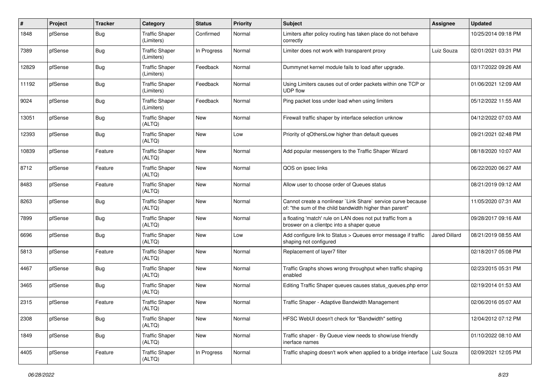| #     | Project | <b>Tracker</b> | Category                            | <b>Status</b> | <b>Priority</b> | <b>Subject</b>                                                                                                          | Assignee             | <b>Updated</b>      |
|-------|---------|----------------|-------------------------------------|---------------|-----------------|-------------------------------------------------------------------------------------------------------------------------|----------------------|---------------------|
| 1848  | pfSense | Bug            | <b>Traffic Shaper</b><br>(Limiters) | Confirmed     | Normal          | Limiters after policy routing has taken place do not behave<br>correctly                                                |                      | 10/25/2014 09:18 PM |
| 7389  | pfSense | Bug            | <b>Traffic Shaper</b><br>(Limiters) | In Progress   | Normal          | Limiter does not work with transparent proxy                                                                            | Luiz Souza           | 02/01/2021 03:31 PM |
| 12829 | pfSense | Bug            | <b>Traffic Shaper</b><br>(Limiters) | Feedback      | Normal          | Dummynet kernel module fails to load after upgrade.                                                                     |                      | 03/17/2022 09:26 AM |
| 11192 | pfSense | Bug            | <b>Traffic Shaper</b><br>(Limiters) | Feedback      | Normal          | Using Limiters causes out of order packets within one TCP or<br><b>UDP flow</b>                                         |                      | 01/06/2021 12:09 AM |
| 9024  | pfSense | Bug            | <b>Traffic Shaper</b><br>(Limiters) | Feedback      | Normal          | Ping packet loss under load when using limiters                                                                         |                      | 05/12/2022 11:55 AM |
| 13051 | pfSense | Bug            | <b>Traffic Shaper</b><br>(ALTQ)     | New           | Normal          | Firewall traffic shaper by interface selection unknow                                                                   |                      | 04/12/2022 07:03 AM |
| 12393 | pfSense | Bug            | <b>Traffic Shaper</b><br>(ALTQ)     | <b>New</b>    | Low             | Priority of qOthersLow higher than default queues                                                                       |                      | 09/21/2021 02:48 PM |
| 10839 | pfSense | Feature        | <b>Traffic Shaper</b><br>(ALTQ)     | New           | Normal          | Add popular messengers to the Traffic Shaper Wizard                                                                     |                      | 08/18/2020 10:07 AM |
| 8712  | pfSense | Feature        | <b>Traffic Shaper</b><br>(ALTQ)     | <b>New</b>    | Normal          | QOS on ipsec links                                                                                                      |                      | 06/22/2020 06:27 AM |
| 8483  | pfSense | Feature        | <b>Traffic Shaper</b><br>(ALTQ)     | <b>New</b>    | Normal          | Allow user to choose order of Queues status                                                                             |                      | 08/21/2019 09:12 AM |
| 8263  | pfSense | Bug            | <b>Traffic Shaper</b><br>(ALTQ)     | New           | Normal          | Cannot create a nonlinear `Link Share` service curve because<br>of: "the sum of the child bandwidth higher than parent" |                      | 11/05/2020 07:31 AM |
| 7899  | pfSense | Bug            | <b>Traffic Shaper</b><br>(ALTQ)     | New           | Normal          | a floating 'match' rule on LAN does not put traffic from a<br>broswer on a clientpc into a shaper queue                 |                      | 09/28/2017 09:16 AM |
| 6696  | pfSense | Bug            | <b>Traffic Shaper</b><br>(ALTQ)     | New           | Low             | Add configure link to Status > Queues error message if traffic<br>shaping not configured                                | <b>Jared Dillard</b> | 08/21/2019 08:55 AM |
| 5813  | pfSense | Feature        | <b>Traffic Shaper</b><br>(ALTQ)     | New           | Normal          | Replacement of layer7 filter                                                                                            |                      | 02/18/2017 05:08 PM |
| 4467  | pfSense | Bug            | <b>Traffic Shaper</b><br>(ALTQ)     | New           | Normal          | Traffic Graphs shows wrong throughput when traffic shaping<br>enabled                                                   |                      | 02/23/2015 05:31 PM |
| 3465  | pfSense | Bug            | <b>Traffic Shaper</b><br>(ALTQ)     | New           | Normal          | Editing Traffic Shaper queues causes status_queues.php error                                                            |                      | 02/19/2014 01:53 AM |
| 2315  | pfSense | Feature        | <b>Traffic Shaper</b><br>(ALTQ)     | <b>New</b>    | Normal          | Traffic Shaper - Adaptive Bandwidth Management                                                                          |                      | 02/06/2016 05:07 AM |
| 2308  | pfSense | <b>Bug</b>     | <b>Traffic Shaper</b><br>(ALTQ)     | New           | Normal          | HFSC WebUI doesn't check for "Bandwidth" setting                                                                        |                      | 12/04/2012 07:12 PM |
| 1849  | pfSense | <b>Bug</b>     | <b>Traffic Shaper</b><br>(ALTQ)     | New           | Normal          | Traffic shaper - By Queue view needs to show/use friendly<br>inerface names                                             |                      | 01/10/2022 08:10 AM |
| 4405  | pfSense | Feature        | <b>Traffic Shaper</b><br>(ALTQ)     | In Progress   | Normal          | Traffic shaping doesn't work when applied to a bridge interface   Luiz Souza                                            |                      | 02/09/2021 12:05 PM |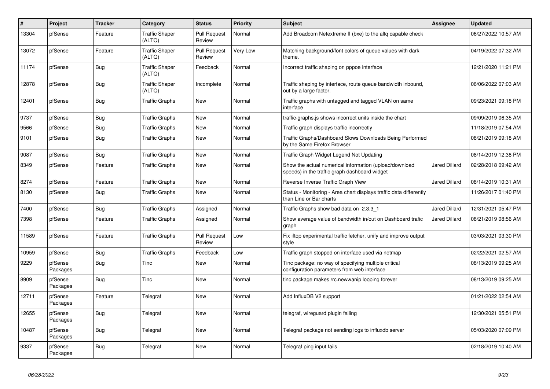| $\#$  | Project             | <b>Tracker</b> | Category                        | <b>Status</b>                 | <b>Priority</b> | <b>Subject</b>                                                                                          | Assignee             | <b>Updated</b>      |
|-------|---------------------|----------------|---------------------------------|-------------------------------|-----------------|---------------------------------------------------------------------------------------------------------|----------------------|---------------------|
| 13304 | pfSense             | Feature        | <b>Traffic Shaper</b><br>(ALTQ) | <b>Pull Request</b><br>Review | Normal          | Add Broadcom Netextreme II (bxe) to the altg capable check                                              |                      | 06/27/2022 10:57 AM |
| 13072 | pfSense             | Feature        | <b>Traffic Shaper</b><br>(ALTQ) | <b>Pull Request</b><br>Review | Very Low        | Matching background/font colors of queue values with dark<br>theme.                                     |                      | 04/19/2022 07:32 AM |
| 11174 | pfSense             | <b>Bug</b>     | <b>Traffic Shaper</b><br>(ALTQ) | Feedback                      | Normal          | Incorrect traffic shaping on pppoe interface                                                            |                      | 12/21/2020 11:21 PM |
| 12878 | pfSense             | Bug            | <b>Traffic Shaper</b><br>(ALTQ) | Incomplete                    | Normal          | Traffic shaping by interface, route queue bandwidth inbound,<br>out by a large factor.                  |                      | 06/06/2022 07:03 AM |
| 12401 | pfSense             | Bug            | <b>Traffic Graphs</b>           | New                           | Normal          | Traffic graphs with untagged and tagged VLAN on same<br>interface                                       |                      | 09/23/2021 09:18 PM |
| 9737  | pfSense             | Bug            | <b>Traffic Graphs</b>           | <b>New</b>                    | Normal          | traffic-graphs.js shows incorrect units inside the chart                                                |                      | 09/09/2019 06:35 AM |
| 9566  | pfSense             | <b>Bug</b>     | <b>Traffic Graphs</b>           | New                           | Normal          | Traffic graph displays traffic incorrectly                                                              |                      | 11/18/2019 07:54 AM |
| 9101  | pfSense             | <b>Bug</b>     | <b>Traffic Graphs</b>           | <b>New</b>                    | Normal          | Traffic Graphs/Dashboard Slows Downloads Being Performed<br>by the Same Firefox Browser                 |                      | 08/21/2019 09:18 AM |
| 9087  | pfSense             | Bug            | Traffic Graphs                  | New                           | Normal          | Traffic Graph Widget Legend Not Updating                                                                |                      | 08/14/2019 12:38 PM |
| 8349  | pfSense             | Feature        | <b>Traffic Graphs</b>           | <b>New</b>                    | Normal          | Show the actual numerical information (upload/download<br>speeds) in the traffic graph dashboard widget | <b>Jared Dillard</b> | 02/28/2018 09:42 AM |
| 8274  | pfSense             | Feature        | Traffic Graphs                  | New                           | Normal          | Reverse Inverse Traffic Graph View                                                                      | Jared Dillard        | 08/14/2019 10:31 AM |
| 8130  | pfSense             | <b>Bug</b>     | <b>Traffic Graphs</b>           | <b>New</b>                    | Normal          | Status - Monitoring - Area chart displays traffic data differently<br>than Line or Bar charts           |                      | 11/26/2017 01:40 PM |
| 7400  | pfSense             | Bug            | <b>Traffic Graphs</b>           | Assigned                      | Normal          | Traffic Graphs show bad data on 2.3.3 1                                                                 | <b>Jared Dillard</b> | 12/31/2021 05:47 PM |
| 7398  | pfSense             | Feature        | <b>Traffic Graphs</b>           | Assigned                      | Normal          | Show average value of bandwidth in/out on Dashboard trafic<br>graph                                     | <b>Jared Dillard</b> | 08/21/2019 08:56 AM |
| 11589 | pfSense             | Feature        | <b>Traffic Graphs</b>           | <b>Pull Request</b><br>Review | Low             | Fix iftop experimental traffic fetcher, unify and improve output<br>style                               |                      | 03/03/2021 03:30 PM |
| 10959 | pfSense             | <b>Bug</b>     | <b>Traffic Graphs</b>           | Feedback                      | Low             | Traffic graph stopped on interface used via netmap                                                      |                      | 02/22/2021 02:57 AM |
| 9229  | pfSense<br>Packages | Bug            | Tinc                            | New                           | Normal          | Tinc package: no way of specifying multiple critical<br>configuration parameters from web interface     |                      | 08/13/2019 09:25 AM |
| 8909  | pfSense<br>Packages | <b>Bug</b>     | <b>Tinc</b>                     | <b>New</b>                    | Normal          | tinc package makes /rc.newwanip looping forever                                                         |                      | 08/13/2019 09:25 AM |
| 12711 | pfSense<br>Packages | Feature        | Telegraf                        | <b>New</b>                    | Normal          | Add InfluxDB V2 support                                                                                 |                      | 01/21/2022 02:54 AM |
| 12655 | pfSense<br>Packages | Bug            | Telegraf                        | New                           | Normal          | telegraf, wireguard plugin failing                                                                      |                      | 12/30/2021 05:51 PM |
| 10487 | pfSense<br>Packages | Bug            | Telegraf                        | <b>New</b>                    | Normal          | Telegraf package not sending logs to influxdb server                                                    |                      | 05/03/2020 07:09 PM |
| 9337  | pfSense<br>Packages | <b>Bug</b>     | Telegraf                        | <b>New</b>                    | Normal          | Telegraf ping input fails                                                                               |                      | 02/18/2019 10:40 AM |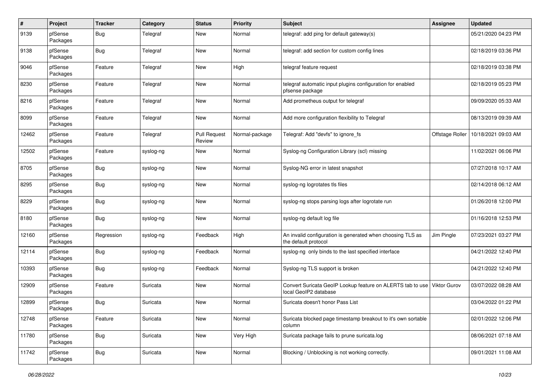| $\pmb{\#}$ | Project             | <b>Tracker</b> | Category  | <b>Status</b>                 | <b>Priority</b> | <b>Subject</b>                                                                      | Assignee            | <b>Updated</b>      |
|------------|---------------------|----------------|-----------|-------------------------------|-----------------|-------------------------------------------------------------------------------------|---------------------|---------------------|
| 9139       | pfSense<br>Packages | <b>Bug</b>     | Telegraf  | New                           | Normal          | telegraf: add ping for default gateway(s)                                           |                     | 05/21/2020 04:23 PM |
| 9138       | pfSense<br>Packages | <b>Bug</b>     | Telegraf  | New                           | Normal          | telegraf: add section for custom config lines                                       |                     | 02/18/2019 03:36 PM |
| 9046       | pfSense<br>Packages | Feature        | Telegraf  | New                           | High            | telegraf feature request                                                            |                     | 02/18/2019 03:38 PM |
| 8230       | pfSense<br>Packages | Feature        | Telegraf  | New                           | Normal          | telegraf automatic input plugins configuration for enabled<br>pfsense package       |                     | 02/18/2019 05:23 PM |
| 8216       | pfSense<br>Packages | Feature        | Telegraf  | New                           | Normal          | Add prometheus output for telegraf                                                  |                     | 09/09/2020 05:33 AM |
| 8099       | pfSense<br>Packages | Feature        | Telegraf  | New                           | Normal          | Add more configuration flexibility to Telegraf                                      |                     | 08/13/2019 09:39 AM |
| 12462      | pfSense<br>Packages | Feature        | Telegraf  | <b>Pull Request</b><br>Review | Normal-package  | Telegraf: Add "devfs" to ignore fs                                                  | Offstage Roller     | 10/18/2021 09:03 AM |
| 12502      | pfSense<br>Packages | Feature        | syslog-ng | New                           | Normal          | Syslog-ng Configuration Library (scl) missing                                       |                     | 11/02/2021 06:06 PM |
| 8705       | pfSense<br>Packages | <b>Bug</b>     | syslog-ng | New                           | Normal          | Syslog-NG error in latest snapshot                                                  |                     | 07/27/2018 10:17 AM |
| 8295       | pfSense<br>Packages | <b>Bug</b>     | syslog-ng | New                           | Normal          | syslog-ng logrotates tls files                                                      |                     | 02/14/2018 06:12 AM |
| 8229       | pfSense<br>Packages | <b>Bug</b>     | syslog-ng | New                           | Normal          | syslog-ng stops parsing logs after logrotate run                                    |                     | 01/26/2018 12:00 PM |
| 8180       | pfSense<br>Packages | Bug            | syslog-ng | New                           | Normal          | syslog-ng default log file                                                          |                     | 01/16/2018 12:53 PM |
| 12160      | pfSense<br>Packages | Regression     | syslog-ng | Feedback                      | High            | An invalid configuration is generated when choosing TLS as<br>the default protocol  | Jim Pingle          | 07/23/2021 03:27 PM |
| 12114      | pfSense<br>Packages | <b>Bug</b>     | syslog-ng | Feedback                      | Normal          | syslog-ng only binds to the last specified interface                                |                     | 04/21/2022 12:40 PM |
| 10393      | pfSense<br>Packages | <b>Bug</b>     | syslog-ng | Feedback                      | Normal          | Syslog-ng TLS support is broken                                                     |                     | 04/21/2022 12:40 PM |
| 12909      | pfSense<br>Packages | Feature        | Suricata  | New                           | Normal          | Convert Suricata GeoIP Lookup feature on ALERTS tab to use<br>local GeoIP2 database | <b>Viktor Gurov</b> | 03/07/2022 08:28 AM |
| 12899      | pfSense<br>Packages | <b>Bug</b>     | Suricata  | New                           | Normal          | Suricata doesn't honor Pass List                                                    |                     | 03/04/2022 01:22 PM |
| 12748      | pfSense<br>Packages | Feature        | Suricata  | New                           | Normal          | Suricata blocked page timestamp breakout to it's own sortable<br>column             |                     | 02/01/2022 12:06 PM |
| 11780      | pfSense<br>Packages | <b>Bug</b>     | Suricata  | New                           | Very High       | Suricata package fails to prune suricata.log                                        |                     | 08/06/2021 07:18 AM |
| 11742      | pfSense<br>Packages | <b>Bug</b>     | Suricata  | New                           | Normal          | Blocking / Unblocking is not working correctly.                                     |                     | 09/01/2021 11:08 AM |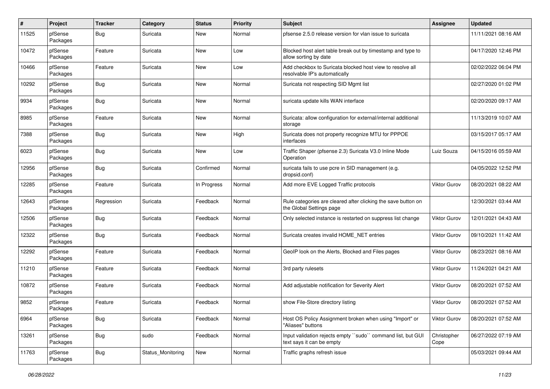| $\pmb{\#}$ | Project             | <b>Tracker</b> | Category          | <b>Status</b> | <b>Priority</b> | Subject                                                                                    | <b>Assignee</b>     | <b>Updated</b>      |
|------------|---------------------|----------------|-------------------|---------------|-----------------|--------------------------------------------------------------------------------------------|---------------------|---------------------|
| 11525      | pfSense<br>Packages | <b>Bug</b>     | Suricata          | New           | Normal          | pfsense 2.5.0 release version for vlan issue to suricata                                   |                     | 11/11/2021 08:16 AM |
| 10472      | pfSense<br>Packages | Feature        | Suricata          | New           | Low             | Blocked host alert table break out by timestamp and type to<br>allow sorting by date       |                     | 04/17/2020 12:46 PM |
| 10466      | pfSense<br>Packages | Feature        | Suricata          | <b>New</b>    | Low             | Add checkbox to Suricata blocked host view to resolve all<br>resolvable IP's automatically |                     | 02/02/2022 06:04 PM |
| 10292      | pfSense<br>Packages | Bug            | Suricata          | New           | Normal          | Suricata not respecting SID Mgmt list                                                      |                     | 02/27/2020 01:02 PM |
| 9934       | pfSense<br>Packages | Bug            | Suricata          | New           | Normal          | suricata update kills WAN interface                                                        |                     | 02/20/2020 09:17 AM |
| 8985       | pfSense<br>Packages | Feature        | Suricata          | New           | Normal          | Suricata: allow configuration for external/internal additional<br>storage                  |                     | 11/13/2019 10:07 AM |
| 7388       | pfSense<br>Packages | <b>Bug</b>     | Suricata          | New           | High            | Suricata does not property recognize MTU for PPPOE<br>interfaces                           |                     | 03/15/2017 05:17 AM |
| 6023       | pfSense<br>Packages | <b>Bug</b>     | Suricata          | New           | Low             | Traffic Shaper (pfsense 2.3) Suricata V3.0 Inline Mode<br>Operation                        | Luiz Souza          | 04/15/2016 05:59 AM |
| 12956      | pfSense<br>Packages | <b>Bug</b>     | Suricata          | Confirmed     | Normal          | suricata fails to use pcre in SID management (e.g.<br>dropsid.conf)                        |                     | 04/05/2022 12:52 PM |
| 12285      | pfSense<br>Packages | Feature        | Suricata          | In Progress   | Normal          | Add more EVE Logged Traffic protocols                                                      | Viktor Gurov        | 08/20/2021 08:22 AM |
| 12643      | pfSense<br>Packages | Regression     | Suricata          | Feedback      | Normal          | Rule categories are cleared after clicking the save button on<br>the Global Settings page  |                     | 12/30/2021 03:44 AM |
| 12506      | pfSense<br>Packages | Bug            | Suricata          | Feedback      | Normal          | Only selected instance is restarted on suppress list change                                | <b>Viktor Gurov</b> | 12/01/2021 04:43 AM |
| 12322      | pfSense<br>Packages | Bug            | Suricata          | Feedback      | Normal          | Suricata creates invalid HOME_NET entries                                                  | Viktor Gurov        | 09/10/2021 11:42 AM |
| 12292      | pfSense<br>Packages | Feature        | Suricata          | Feedback      | Normal          | GeoIP look on the Alerts, Blocked and Files pages                                          | <b>Viktor Gurov</b> | 08/23/2021 08:16 AM |
| 11210      | pfSense<br>Packages | Feature        | Suricata          | Feedback      | Normal          | 3rd party rulesets                                                                         | Viktor Gurov        | 11/24/2021 04:21 AM |
| 10872      | pfSense<br>Packages | Feature        | Suricata          | Feedback      | Normal          | Add adjustable notification for Severity Alert                                             | Viktor Gurov        | 08/20/2021 07:52 AM |
| 9852       | pfSense<br>Packages | Feature        | Suricata          | Feedback      | Normal          | show File-Store directory listing                                                          | Viktor Gurov        | 08/20/2021 07:52 AM |
| 6964       | pfSense<br>Packages | <b>Bug</b>     | Suricata          | Feedback      | Normal          | Host OS Policy Assignment broken when using "Import" or<br>"Aliases" buttons               | <b>Viktor Gurov</b> | 08/20/2021 07:52 AM |
| 13261      | pfSense<br>Packages | <b>Bug</b>     | sudo              | Feedback      | Normal          | Input validation rejects empty "sudo" command list, but GUI<br>text says it can be empty   | Christopher<br>Cope | 06/27/2022 07:19 AM |
| 11763      | pfSense<br>Packages | <b>Bug</b>     | Status_Monitoring | New           | Normal          | Traffic graphs refresh issue                                                               |                     | 05/03/2021 09:44 AM |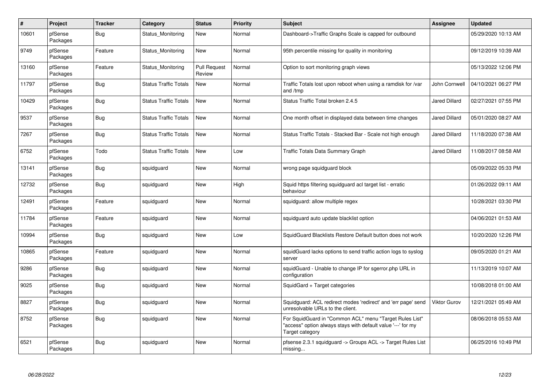| $\pmb{\#}$ | Project             | <b>Tracker</b> | Category                     | <b>Status</b>                 | <b>Priority</b> | Subject                                                                                                                                    | <b>Assignee</b>      | <b>Updated</b>      |
|------------|---------------------|----------------|------------------------------|-------------------------------|-----------------|--------------------------------------------------------------------------------------------------------------------------------------------|----------------------|---------------------|
| 10601      | pfSense<br>Packages | Bug            | Status Monitoring            | New                           | Normal          | Dashboard->Traffic Graphs Scale is capped for outbound                                                                                     |                      | 05/29/2020 10:13 AM |
| 9749       | pfSense<br>Packages | Feature        | Status_Monitoring            | New                           | Normal          | 95th percentile missing for quality in monitoring                                                                                          |                      | 09/12/2019 10:39 AM |
| 13160      | pfSense<br>Packages | Feature        | Status Monitoring            | <b>Pull Request</b><br>Review | Normal          | Option to sort monitoring graph views                                                                                                      |                      | 05/13/2022 12:06 PM |
| 11797      | pfSense<br>Packages | <b>Bug</b>     | <b>Status Traffic Totals</b> | <b>New</b>                    | Normal          | Traffic Totals lost upon reboot when using a ramdisk for /var<br>and /tmp                                                                  | John Cornwell        | 04/10/2021 06:27 PM |
| 10429      | pfSense<br>Packages | <b>Bug</b>     | <b>Status Traffic Totals</b> | <b>New</b>                    | Normal          | Status Traffic Total broken 2.4.5                                                                                                          | <b>Jared Dillard</b> | 02/27/2021 07:55 PM |
| 9537       | pfSense<br>Packages | <b>Bug</b>     | <b>Status Traffic Totals</b> | New                           | Normal          | One month offset in displayed data between time changes                                                                                    | <b>Jared Dillard</b> | 05/01/2020 08:27 AM |
| 7267       | pfSense<br>Packages | <b>Bug</b>     | <b>Status Traffic Totals</b> | <b>New</b>                    | Normal          | Status Traffic Totals - Stacked Bar - Scale not high enough                                                                                | <b>Jared Dillard</b> | 11/18/2020 07:38 AM |
| 6752       | pfSense<br>Packages | Todo           | <b>Status Traffic Totals</b> | <b>New</b>                    | Low             | Traffic Totals Data Summary Graph                                                                                                          | <b>Jared Dillard</b> | 11/08/2017 08:58 AM |
| 13141      | pfSense<br>Packages | Bug            | squidguard                   | New                           | Normal          | wrong page squidguard block                                                                                                                |                      | 05/09/2022 05:33 PM |
| 12732      | pfSense<br>Packages | Bug            | squidguard                   | <b>New</b>                    | High            | Squid https filtering squidguard acl target list - erratic<br>behaviour                                                                    |                      | 01/26/2022 09:11 AM |
| 12491      | pfSense<br>Packages | Feature        | squidguard                   | <b>New</b>                    | Normal          | squidguard: allow multiple regex                                                                                                           |                      | 10/28/2021 03:30 PM |
| 11784      | pfSense<br>Packages | Feature        | squidguard                   | New                           | Normal          | squidguard auto update blacklist option                                                                                                    |                      | 04/06/2021 01:53 AM |
| 10994      | pfSense<br>Packages | <b>Bug</b>     | squidguard                   | <b>New</b>                    | Low             | SquidGuard Blacklists Restore Default button does not work                                                                                 |                      | 10/20/2020 12:26 PM |
| 10865      | pfSense<br>Packages | Feature        | squidguard                   | New                           | Normal          | squidGuard lacks options to send traffic action logs to syslog<br>server                                                                   |                      | 09/05/2020 01:21 AM |
| 9286       | pfSense<br>Packages | <b>Bug</b>     | squidguard                   | New                           | Normal          | squidGuard - Unable to change IP for sgerror.php URL in<br>configuration                                                                   |                      | 11/13/2019 10:07 AM |
| 9025       | pfSense<br>Packages | <b>Bug</b>     | squidguard                   | <b>New</b>                    | Normal          | SquidGard + Target categories                                                                                                              |                      | 10/08/2018 01:00 AM |
| 8827       | pfSense<br>Packages | <b>Bug</b>     | squidguard                   | New                           | Normal          | Squidguard: ACL redirect modes 'redirect' and 'err page' send<br>unresolvable URLs to the client.                                          | Viktor Gurov         | 12/21/2021 05:49 AM |
| 8752       | pfSense<br>Packages | <b>Bug</b>     | squidguard                   | <b>New</b>                    | Normal          | For SquidGuard in "Common ACL" menu "Target Rules List"<br>'access" option always stays with default value '---' for my<br>Target category |                      | 08/06/2018 05:53 AM |
| 6521       | pfSense<br>Packages | Bug            | squidguard                   | New                           | Normal          | pfsense 2.3.1 squidguard -> Groups ACL -> Target Rules List<br>missing                                                                     |                      | 06/25/2016 10:49 PM |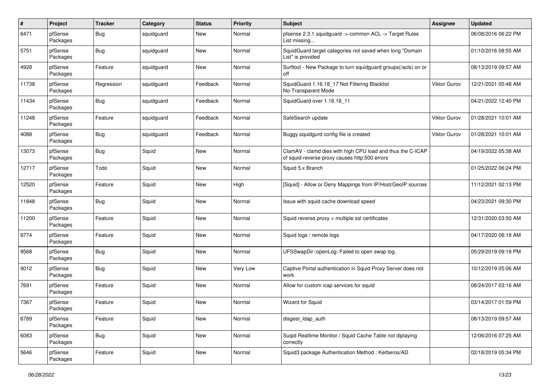| $\sharp$ | Project             | <b>Tracker</b> | Category   | <b>Status</b> | <b>Priority</b> | <b>Subject</b>                                                                                              | <b>Assignee</b>     | <b>Updated</b>      |
|----------|---------------------|----------------|------------|---------------|-----------------|-------------------------------------------------------------------------------------------------------------|---------------------|---------------------|
| 6471     | pfSense<br>Packages | <b>Bug</b>     | squidguard | New           | Normal          | pfsense 2.3.1 squidguard -> common ACL -> Target Rules<br>List missing                                      |                     | 06/08/2016 06:22 PM |
| 5751     | pfSense<br>Packages | <b>Bug</b>     | squidguard | New           | Normal          | SquidGuard target categories not saved when long "Domain<br>List" is provided                               |                     | 01/10/2016 08:55 AM |
| 4928     | pfSense<br>Packages | Feature        | squidguard | <b>New</b>    | Normal          | Surftool - New Package to turn squidguard groups(/acls) on or<br>off                                        |                     | 08/13/2019 09:57 AM |
| 11738    | pfSense<br>Packages | Regression     | squidguard | Feedback      | Normal          | SquidGuard 1.16.18_17 Not Filtering Blacklist<br>No-Transparent Mode                                        | Viktor Gurov        | 12/21/2021 05:48 AM |
| 11434    | pfSense<br>Packages | <b>Bug</b>     | squidguard | Feedback      | Normal          | SquidGuard over 1.16.18_11                                                                                  |                     | 04/21/2022 12:40 PM |
| 11248    | pfSense<br>Packages | Feature        | squidguard | Feedback      | Normal          | SafeSearch update                                                                                           | <b>Viktor Gurov</b> | 01/28/2021 10:01 AM |
| 4088     | pfSense<br>Packages | <b>Bug</b>     | squidguard | Feedback      | Normal          | Buggy squidgurd config file is created                                                                      | Viktor Gurov        | 01/28/2021 10:01 AM |
| 13073    | pfSense<br>Packages | <b>Bug</b>     | Squid      | New           | Normal          | ClamAV - clamd dies with high CPU load and thus the C-ICAP<br>of squid-reverse proxy causes http:500 errors |                     | 04/19/2022 05:38 AM |
| 12717    | pfSense<br>Packages | Todo           | Squid      | <b>New</b>    | Normal          | Squid 5.x Branch                                                                                            |                     | 01/25/2022 06:24 PM |
| 12520    | pfSense<br>Packages | Feature        | Squid      | <b>New</b>    | High            | [Squid] - Allow or Deny Mappings from IP/Host/GeoIP sources                                                 |                     | 11/12/2021 02:13 PM |
| 11848    | pfSense<br>Packages | <b>Bug</b>     | Squid      | <b>New</b>    | Normal          | Issue with squid cache download speed                                                                       |                     | 04/23/2021 09:30 PM |
| 11200    | pfSense<br>Packages | Feature        | Squid      | <b>New</b>    | Normal          | Squid reverse proxy + multiple ssl certificates                                                             |                     | 12/31/2020 03:50 AM |
| 9774     | pfSense<br>Packages | Feature        | Squid      | New           | Normal          | Squid logs / remote logs                                                                                    |                     | 04/17/2020 06:18 AM |
| 9568     | pfSense<br>Packages | Bug            | Squid      | New           | Normal          | UFSSwapDir::openLog: Failed to open swap log.                                                               |                     | 05/29/2019 09:18 PM |
| 9012     | pfSense<br>Packages | <b>Bug</b>     | Squid      | New           | Very Low        | Captive Portal authentication in Squid Proxy Server does not<br>work                                        |                     | 10/12/2019 05:06 AM |
| 7691     | pfSense<br>Packages | Feature        | Squid      | <b>New</b>    | Normal          | Allow for custom icap services for squid                                                                    |                     | 08/24/2017 03:16 AM |
| 7367     | pfSense<br>Packages | Feature        | Squid      | <b>New</b>    | Normal          | Wizard for Squid                                                                                            |                     | 03/14/2017 01:59 PM |
| 6789     | pfSense<br>Packages | Feature        | Squid      | New           | Normal          | disgest_ldap_auth                                                                                           |                     | 08/13/2019 09:57 AM |
| 6083     | pfSense<br>Packages | Bug            | Squid      | New           | Normal          | Suqid Realtime Monitor / Squid Cache Table not diplaying<br>correctly                                       |                     | 12/06/2016 07:25 AM |
| 5646     | pfSense<br>Packages | Feature        | Squid      | New           | Normal          | Squid3 package Authentication Method: Kerberos/AD                                                           |                     | 02/18/2019 05:34 PM |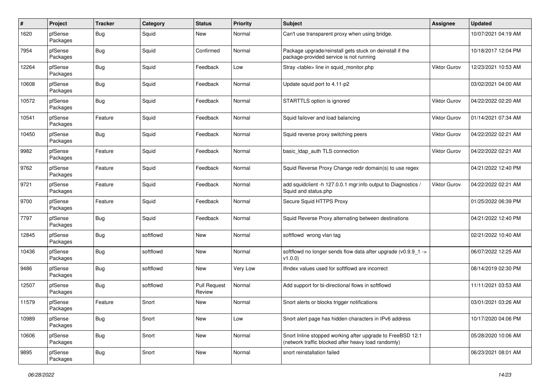| $\pmb{\#}$ | Project             | <b>Tracker</b> | Category  | <b>Status</b>                 | <b>Priority</b> | <b>Subject</b>                                                                                                    | <b>Assignee</b>     | <b>Updated</b>      |
|------------|---------------------|----------------|-----------|-------------------------------|-----------------|-------------------------------------------------------------------------------------------------------------------|---------------------|---------------------|
| 1620       | pfSense<br>Packages | <b>Bug</b>     | Squid     | New                           | Normal          | Can't use transparent proxy when using bridge.                                                                    |                     | 10/07/2021 04:19 AM |
| 7954       | pfSense<br>Packages | Bug            | Squid     | Confirmed                     | Normal          | Package upgrade/reinstall gets stuck on deinstall if the<br>package-provided service is not running               |                     | 10/18/2017 12:04 PM |
| 12264      | pfSense<br>Packages | <b>Bug</b>     | Squid     | Feedback                      | Low             | Stray <table> line in squid_monitor.php</table>                                                                   | <b>Viktor Gurov</b> | 12/23/2021 10:53 AM |
| 10608      | pfSense<br>Packages | Bug            | Squid     | Feedback                      | Normal          | Update squid port to 4.11-p2                                                                                      |                     | 03/02/2021 04:00 AM |
| 10572      | pfSense<br>Packages | <b>Bug</b>     | Squid     | Feedback                      | Normal          | STARTTLS option is ignored                                                                                        | <b>Viktor Gurov</b> | 04/22/2022 02:20 AM |
| 10541      | pfSense<br>Packages | Feature        | Squid     | Feedback                      | Normal          | Squid failover and load balancing                                                                                 | Viktor Gurov        | 01/14/2021 07:34 AM |
| 10450      | pfSense<br>Packages | Bug            | Squid     | Feedback                      | Normal          | Squid reverse proxy switching peers                                                                               | <b>Viktor Gurov</b> | 04/22/2022 02:21 AM |
| 9982       | pfSense<br>Packages | Feature        | Squid     | Feedback                      | Normal          | basic_ldap_auth TLS connection                                                                                    | <b>Viktor Gurov</b> | 04/22/2022 02:21 AM |
| 9762       | pfSense<br>Packages | Feature        | Squid     | Feedback                      | Normal          | Squid Reverse Proxy Change redir domain(s) to use regex                                                           |                     | 04/21/2022 12:40 PM |
| 9721       | pfSense<br>Packages | Feature        | Squid     | Feedback                      | Normal          | add squidclient -h 127.0.0.1 mgr:info output to Diagnostics /<br>Squid and status.php                             | <b>Viktor Gurov</b> | 04/22/2022 02:21 AM |
| 9700       | pfSense<br>Packages | Feature        | Squid     | Feedback                      | Normal          | Secure Squid HTTPS Proxy                                                                                          |                     | 01/25/2022 06:39 PM |
| 7797       | pfSense<br>Packages | Bug            | Squid     | Feedback                      | Normal          | Squid Reverse Proxy alternating between destinations                                                              |                     | 04/21/2022 12:40 PM |
| 12845      | pfSense<br>Packages | <b>Bug</b>     | softflowd | New                           | Normal          | softflowd wrong vlan tag                                                                                          |                     | 02/21/2022 10:40 AM |
| 10436      | pfSense<br>Packages | <b>Bug</b>     | softflowd | New                           | Normal          | softflowd no longer sends flow data after upgrade (v0.9.9_1 -><br>v1.0.0                                          |                     | 06/07/2022 12:25 AM |
| 9486       | pfSense<br>Packages | <b>Bug</b>     | softflowd | New                           | Very Low        | ifindex values used for softflowd are incorrect                                                                   |                     | 08/14/2019 02:30 PM |
| 12507      | pfSense<br>Packages | <b>Bug</b>     | softflowd | <b>Pull Request</b><br>Review | Normal          | Add support for bi-directional flows in softflowd                                                                 |                     | 11/11/2021 03:53 AM |
| 11579      | pfSense<br>Packages | Feature        | Snort     | New                           | Normal          | Snort alerts or blocks trigger notifications                                                                      |                     | 03/01/2021 03:26 AM |
| 10989      | pfSense<br>Packages | <b>Bug</b>     | Snort     | New                           | Low             | Snort alert page has hidden characters in IPv6 address                                                            |                     | 10/17/2020 04:06 PM |
| 10606      | pfSense<br>Packages | <b>Bug</b>     | Snort     | New                           | Normal          | Snort Inline stopped working after upgrade to FreeBSD 12.1<br>(network traffic blocked after heavy load randomly) |                     | 05/28/2020 10:06 AM |
| 9895       | pfSense<br>Packages | <b>Bug</b>     | Snort     | New                           | Normal          | snort reinstallation failed                                                                                       |                     | 06/23/2021 08:01 AM |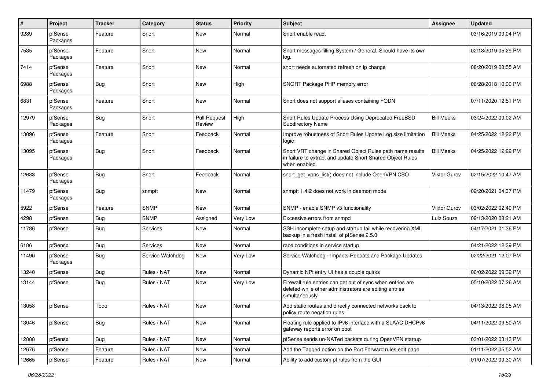| $\pmb{\#}$ | Project             | <b>Tracker</b> | Category         | <b>Status</b>                 | <b>Priority</b> | <b>Subject</b>                                                                                                                          | <b>Assignee</b>     | <b>Updated</b>      |
|------------|---------------------|----------------|------------------|-------------------------------|-----------------|-----------------------------------------------------------------------------------------------------------------------------------------|---------------------|---------------------|
| 9289       | pfSense<br>Packages | Feature        | Snort            | New                           | Normal          | Snort enable react                                                                                                                      |                     | 03/16/2019 09:04 PM |
| 7535       | pfSense<br>Packages | Feature        | Snort            | New                           | Normal          | Snort messages filling System / General. Should have its own<br>log.                                                                    |                     | 02/18/2019 05:29 PM |
| 7414       | pfSense<br>Packages | Feature        | Snort            | <b>New</b>                    | Normal          | snort needs automated refresh on ip change                                                                                              |                     | 08/20/2019 08:55 AM |
| 6988       | pfSense<br>Packages | <b>Bug</b>     | Snort            | New                           | High            | SNORT Package PHP memory error                                                                                                          |                     | 06/28/2018 10:00 PM |
| 6831       | pfSense<br>Packages | Feature        | Snort            | <b>New</b>                    | Normal          | Snort does not support aliases containing FQDN                                                                                          |                     | 07/11/2020 12:51 PM |
| 12979      | pfSense<br>Packages | Bug            | Snort            | <b>Pull Request</b><br>Review | High            | Snort Rules Update Process Using Deprecated FreeBSD<br><b>Subdirectory Name</b>                                                         | <b>Bill Meeks</b>   | 03/24/2022 09:02 AM |
| 13096      | pfSense<br>Packages | Feature        | Snort            | Feedback                      | Normal          | Improve robustness of Snort Rules Update Log size limitation<br>logic                                                                   | <b>Bill Meeks</b>   | 04/25/2022 12:22 PM |
| 13095      | pfSense<br>Packages | <b>Bug</b>     | Snort            | Feedback                      | Normal          | Snort VRT change in Shared Object Rules path name results<br>in failure to extract and update Snort Shared Object Rules<br>when enabled | <b>Bill Meeks</b>   | 04/25/2022 12:22 PM |
| 12683      | pfSense<br>Packages | <b>Bug</b>     | Snort            | Feedback                      | Normal          | snort get vpns list() does not include OpenVPN CSO                                                                                      | Viktor Gurov        | 02/15/2022 10:47 AM |
| 11479      | pfSense<br>Packages | <b>Bug</b>     | snmptt           | New                           | Normal          | snmptt 1.4.2 does not work in daemon mode                                                                                               |                     | 02/20/2021 04:37 PM |
| 5922       | pfSense             | Feature        | <b>SNMP</b>      | New                           | Normal          | SNMP - enable SNMP v3 functionality                                                                                                     | <b>Viktor Gurov</b> | 03/02/2022 02:40 PM |
| 4298       | pfSense             | <b>Bug</b>     | <b>SNMP</b>      | Assigned                      | Very Low        | Excessive errors from snmpd                                                                                                             | Luiz Souza          | 09/13/2020 08:21 AM |
| 11786      | pfSense             | Bug            | Services         | New                           | Normal          | SSH incomplete setup and startup fail while recovering XML<br>backup in a fresh install of pfSense 2.5.0                                |                     | 04/17/2021 01:36 PM |
| 6186       | pfSense             | <b>Bug</b>     | Services         | New                           | Normal          | race conditions in service startup                                                                                                      |                     | 04/21/2022 12:39 PM |
| 11490      | pfSense<br>Packages | Bug            | Service Watchdog | New                           | Very Low        | Service Watchdog - Impacts Reboots and Package Updates                                                                                  |                     | 02/22/2021 12:07 PM |
| 13240      | pfSense             | Bug            | Rules / NAT      | New                           | Normal          | Dynamic NPt entry UI has a couple quirks                                                                                                |                     | 06/02/2022 09:32 PM |
| 13144      | pfSense             | Bug            | Rules / NAT      | New                           | Very Low        | Firewall rule entries can get out of sync when entries are<br>deleted while other administrators are editing entries<br>simultaneously  |                     | 05/10/2022 07:26 AM |
| 13058      | pfSense             | Todo           | Rules / NAT      | New                           | Normal          | Add static routes and directly connected networks back to<br>policy route negation rules                                                |                     | 04/13/2022 08:05 AM |
| 13046      | pfSense             | <b>Bug</b>     | Rules / NAT      | New                           | Normal          | Floating rule applied to IPv6 interface with a SLAAC DHCPv6<br>gateway reports error on boot                                            |                     | 04/11/2022 09:50 AM |
| 12888      | pfSense             | <b>Bug</b>     | Rules / NAT      | New                           | Normal          | pfSense sends un-NATed packets during OpenVPN startup                                                                                   |                     | 03/01/2022 03:13 PM |
| 12676      | pfSense             | Feature        | Rules / NAT      | New                           | Normal          | Add the Tagged option on the Port Forward rules edit page                                                                               |                     | 01/11/2022 05:52 AM |
| 12665      | pfSense             | Feature        | Rules / NAT      | New                           | Normal          | Ability to add custom pf rules from the GUI                                                                                             |                     | 01/07/2022 09:30 AM |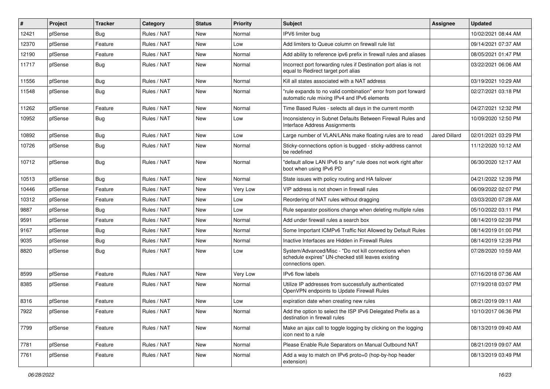| #     | Project | <b>Tracker</b> | Category    | <b>Status</b> | <b>Priority</b> | <b>Subject</b>                                                                                                                  | <b>Assignee</b> | <b>Updated</b>      |
|-------|---------|----------------|-------------|---------------|-----------------|---------------------------------------------------------------------------------------------------------------------------------|-----------------|---------------------|
| 12421 | pfSense | <b>Bug</b>     | Rules / NAT | New           | Normal          | IPV6 limiter bug                                                                                                                |                 | 10/02/2021 08:44 AM |
| 12370 | pfSense | Feature        | Rules / NAT | <b>New</b>    | Low             | Add limiters to Queue column on firewall rule list                                                                              |                 | 09/14/2021 07:37 AM |
| 12190 | pfSense | Feature        | Rules / NAT | New           | Normal          | Add ability to reference ipv6 prefix in firewall rules and aliases                                                              |                 | 08/05/2021 01:47 PM |
| 11717 | pfSense | Bug            | Rules / NAT | New           | Normal          | Incorrect port forwarding rules if Destination port alias is not<br>equal to Redirect target port alias                         |                 | 03/22/2021 06:06 AM |
| 11556 | pfSense | <b>Bug</b>     | Rules / NAT | <b>New</b>    | Normal          | Kill all states associated with a NAT address                                                                                   |                 | 03/19/2021 10:29 AM |
| 11548 | pfSense | Bug            | Rules / NAT | New           | Normal          | "rule expands to no valid combination" error from port forward<br>automatic rule mixing IPv4 and IPv6 elements                  |                 | 02/27/2021 03:18 PM |
| 11262 | pfSense | Feature        | Rules / NAT | <b>New</b>    | Normal          | Time Based Rules - selects all days in the current month                                                                        |                 | 04/27/2021 12:32 PM |
| 10952 | pfSense | Bug            | Rules / NAT | New           | Low             | Inconsistency in Subnet Defaults Between Firewall Rules and<br>Interface Address Assignments                                    |                 | 10/09/2020 12:50 PM |
| 10892 | pfSense | <b>Bug</b>     | Rules / NAT | <b>New</b>    | Low             | Large number of VLAN/LANs make floating rules are to read                                                                       | Jared Dillard   | 02/01/2021 03:29 PM |
| 10726 | pfSense | <b>Bug</b>     | Rules / NAT | <b>New</b>    | Normal          | Sticky-connections option is bugged - sticky-address cannot<br>be redefined                                                     |                 | 11/12/2020 10:12 AM |
| 10712 | pfSense | Bug            | Rules / NAT | <b>New</b>    | Normal          | "default allow LAN IPv6 to any" rule does not work right after<br>boot when using IPv6 PD                                       |                 | 06/30/2020 12:17 AM |
| 10513 | pfSense | <b>Bug</b>     | Rules / NAT | <b>New</b>    | Normal          | State issues with policy routing and HA failover                                                                                |                 | 04/21/2022 12:39 PM |
| 10446 | pfSense | Feature        | Rules / NAT | New           | Very Low        | VIP address is not shown in firewall rules                                                                                      |                 | 06/09/2022 02:07 PM |
| 10312 | pfSense | Feature        | Rules / NAT | <b>New</b>    | Low             | Reordering of NAT rules without dragging                                                                                        |                 | 03/03/2020 07:28 AM |
| 9887  | pfSense | <b>Bug</b>     | Rules / NAT | <b>New</b>    | Low             | Rule separator positions change when deleting multiple rules                                                                    |                 | 05/10/2022 03:11 PM |
| 9591  | pfSense | Feature        | Rules / NAT | <b>New</b>    | Normal          | Add under firewall rules a search box                                                                                           |                 | 08/14/2019 02:39 PM |
| 9167  | pfSense | <b>Bug</b>     | Rules / NAT | New           | Normal          | Some Important ICMPv6 Traffic Not Allowed by Default Rules                                                                      |                 | 08/14/2019 01:00 PM |
| 9035  | pfSense | Bug            | Rules / NAT | New           | Normal          | Inactive Interfaces are Hidden in Firewall Rules                                                                                |                 | 08/14/2019 12:39 PM |
| 8820  | pfSense | Bug            | Rules / NAT | <b>New</b>    | Low             | System/Advanced/Misc - "Do not kill connections when<br>schedule expires" UN-checked still leaves existing<br>connections open. |                 | 07/28/2020 10:59 AM |
| 8599  | pfSense | Feature        | Rules / NAT | <b>New</b>    | Very Low        | <b>IPv6</b> flow labels                                                                                                         |                 | 07/16/2018 07:36 AM |
| 8385  | pfSense | Feature        | Rules / NAT | <b>New</b>    | Normal          | Utilize IP addresses from successfully authenticated<br>OpenVPN endpoints to Update Firewall Rules                              |                 | 07/19/2018 03:07 PM |
| 8316  | pfSense | Feature        | Rules / NAT | New           | Low             | expiration date when creating new rules                                                                                         |                 | 08/21/2019 09:11 AM |
| 7922  | pfSense | Feature        | Rules / NAT | New           | Normal          | Add the option to select the ISP IPv6 Delegated Prefix as a<br>destination in firewall rules                                    |                 | 10/10/2017 06:36 PM |
| 7799  | pfSense | Feature        | Rules / NAT | New           | Normal          | Make an ajax call to toggle logging by clicking on the logging<br>icon next to a rule                                           |                 | 08/13/2019 09:40 AM |
| 7781  | pfSense | Feature        | Rules / NAT | New           | Normal          | Please Enable Rule Separators on Manual Outbound NAT                                                                            |                 | 08/21/2019 09:07 AM |
| 7761  | pfSense | Feature        | Rules / NAT | New           | Normal          | Add a way to match on IPv6 proto=0 (hop-by-hop header<br>extension)                                                             |                 | 08/13/2019 03:49 PM |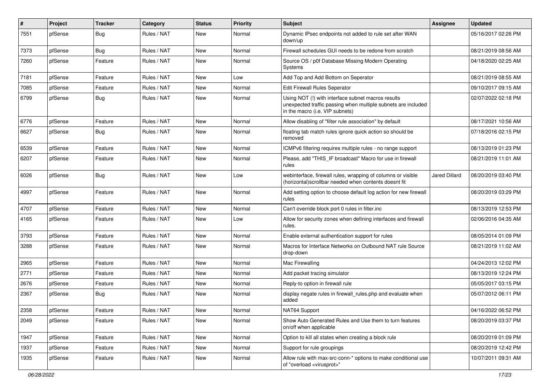| ∦    | Project | <b>Tracker</b> | Category    | <b>Status</b> | <b>Priority</b> | Subject                                                                                                                                                | <b>Assignee</b>      | <b>Updated</b>      |
|------|---------|----------------|-------------|---------------|-----------------|--------------------------------------------------------------------------------------------------------------------------------------------------------|----------------------|---------------------|
| 7551 | pfSense | <b>Bug</b>     | Rules / NAT | New           | Normal          | Dynamic IPsec endpoints not added to rule set after WAN<br>down/up                                                                                     |                      | 05/16/2017 02:26 PM |
| 7373 | pfSense | Bug            | Rules / NAT | New           | Normal          | Firewall schedules GUI needs to be redone from scratch                                                                                                 |                      | 08/21/2019 08:56 AM |
| 7260 | pfSense | Feature        | Rules / NAT | New           | Normal          | Source OS / p0f Database Missing Modern Operating<br>Systems                                                                                           |                      | 04/18/2020 02:25 AM |
| 7181 | pfSense | Feature        | Rules / NAT | New           | Low             | Add Top and Add Bottom on Seperator                                                                                                                    |                      | 08/21/2019 08:55 AM |
| 7085 | pfSense | Feature        | Rules / NAT | New           | Normal          | Edit Firewall Rules Seperator                                                                                                                          |                      | 09/10/2017 09:15 AM |
| 6799 | pfSense | <b>Bug</b>     | Rules / NAT | New           | Normal          | Using NOT (!) with interface subnet macros results<br>unexpected traffic passing when multiple subnets are included<br>in the macro (i.e. VIP subnets) |                      | 02/07/2022 02:18 PM |
| 6776 | pfSense | Feature        | Rules / NAT | New           | Normal          | Allow disabling of "filter rule association" by default                                                                                                |                      | 08/17/2021 10:56 AM |
| 6627 | pfSense | <b>Bug</b>     | Rules / NAT | New           | Normal          | floating tab match rules ignore quick action so should be<br>removed                                                                                   |                      | 07/18/2016 02:15 PM |
| 6539 | pfSense | Feature        | Rules / NAT | New           | Normal          | ICMPv6 filtering requires multiple rules - no range support                                                                                            |                      | 08/13/2019 01:23 PM |
| 6207 | pfSense | Feature        | Rules / NAT | New           | Normal          | Please, add "THIS IF broadcast" Macro for use in firewall<br>rules                                                                                     |                      | 08/21/2019 11:01 AM |
| 6026 | pfSense | <b>Bug</b>     | Rules / NAT | New           | Low             | webinterface, firewall rules, wrapping of columns or visible<br>(horizontal)scrollbar needed when contents doesnt fit                                  | <b>Jared Dillard</b> | 08/20/2019 03:40 PM |
| 4997 | pfSense | Feature        | Rules / NAT | <b>New</b>    | Normal          | Add setting option to choose default log action for new firewall<br>rules                                                                              |                      | 08/20/2019 03:29 PM |
| 4707 | pfSense | Feature        | Rules / NAT | New           | Normal          | Can't override block port 0 rules in filter.inc                                                                                                        |                      | 08/13/2019 12:53 PM |
| 4165 | pfSense | Feature        | Rules / NAT | New           | Low             | Allow for security zones when defining interfaces and firewall<br>rules.                                                                               |                      | 02/06/2016 04:35 AM |
| 3793 | pfSense | Feature        | Rules / NAT | New           | Normal          | Enable external authentication support for rules                                                                                                       |                      | 08/05/2014 01:09 PM |
| 3288 | pfSense | Feature        | Rules / NAT | New           | Normal          | Macros for Interface Networks on Outbound NAT rule Source<br>drop-down                                                                                 |                      | 08/21/2019 11:02 AM |
| 2965 | pfSense | Feature        | Rules / NAT | New           | Normal          | Mac Firewalling                                                                                                                                        |                      | 04/24/2013 12:02 PM |
| 2771 | pfSense | Feature        | Rules / NAT | New           | Normal          | Add packet tracing simulator                                                                                                                           |                      | 08/13/2019 12:24 PM |
| 2676 | pfSense | Feature        | Rules / NAT | New           | Normal          | Reply-to option in firewall rule                                                                                                                       |                      | 05/05/2017 03:15 PM |
| 2367 | pfSense | <b>Bug</b>     | Rules / NAT | New           | Normal          | display negate rules in firewall_rules.php and evaluate when<br>added                                                                                  |                      | 05/07/2012 06:11 PM |
| 2358 | pfSense | Feature        | Rules / NAT | New           | Normal          | NAT64 Support                                                                                                                                          |                      | 04/16/2022 06:52 PM |
| 2049 | pfSense | Feature        | Rules / NAT | New           | Normal          | Show Auto Generated Rules and Use them to turn features<br>on/off when applicable                                                                      |                      | 08/20/2019 03:37 PM |
| 1947 | pfSense | Feature        | Rules / NAT | New           | Normal          | Option to kill all states when creating a block rule                                                                                                   |                      | 08/20/2019 01:09 PM |
| 1937 | pfSense | Feature        | Rules / NAT | New           | Normal          | Support for rule groupings                                                                                                                             |                      | 08/20/2019 12:42 PM |
| 1935 | pfSense | Feature        | Rules / NAT | New           | Normal          | Allow rule with max-src-conn-* options to make conditional use<br>of "overload <virusprot>"</virusprot>                                                |                      | 10/07/2011 09:31 AM |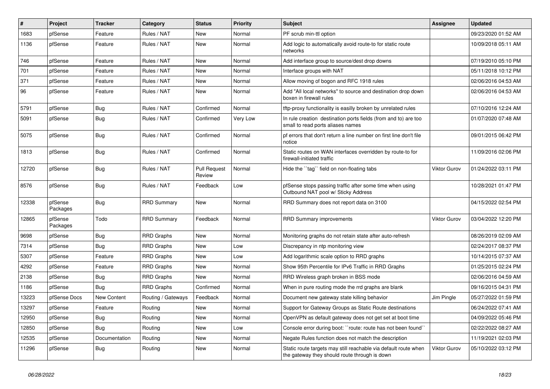| $\vert$ # | Project             | <b>Tracker</b>     | Category           | <b>Status</b>                 | Priority | <b>Subject</b>                                                                                                   | <b>Assignee</b>     | <b>Updated</b>      |
|-----------|---------------------|--------------------|--------------------|-------------------------------|----------|------------------------------------------------------------------------------------------------------------------|---------------------|---------------------|
| 1683      | pfSense             | Feature            | Rules / NAT        | <b>New</b>                    | Normal   | PF scrub min-ttl option                                                                                          |                     | 09/23/2020 01:52 AM |
| 1136      | pfSense             | Feature            | Rules / NAT        | <b>New</b>                    | Normal   | Add logic to automatically avoid route-to for static route<br>networks                                           |                     | 10/09/2018 05:11 AM |
| 746       | pfSense             | Feature            | Rules / NAT        | New                           | Normal   | Add interface group to source/dest drop downs                                                                    |                     | 07/19/2010 05:10 PM |
| 701       | pfSense             | Feature            | Rules / NAT        | New                           | Normal   | Interface groups with NAT                                                                                        |                     | 05/11/2018 10:12 PM |
| 371       | pfSense             | Feature            | Rules / NAT        | New                           | Normal   | Allow moving of bogon and RFC 1918 rules                                                                         |                     | 02/06/2016 04:53 AM |
| 96        | pfSense             | Feature            | Rules / NAT        | New                           | Normal   | Add "All local networks" to source and destination drop down<br>boxen in firewall rules                          |                     | 02/06/2016 04:53 AM |
| 5791      | pfSense             | Bug                | Rules / NAT        | Confirmed                     | Normal   | tftp-proxy functionality is easilly broken by unrelated rules                                                    |                     | 07/10/2016 12:24 AM |
| 5091      | pfSense             | <b>Bug</b>         | Rules / NAT        | Confirmed                     | Very Low | In rule creation destination ports fields (from and to) are too<br>small to read ports aliases names             |                     | 01/07/2020 07:48 AM |
| 5075      | pfSense             | <b>Bug</b>         | Rules / NAT        | Confirmed                     | Normal   | pf errors that don't return a line number on first line don't file<br>notice                                     |                     | 09/01/2015 06:42 PM |
| 1813      | pfSense             | Bug                | Rules / NAT        | Confirmed                     | Normal   | Static routes on WAN interfaces overridden by route-to for<br>firewall-initiated traffic                         |                     | 11/09/2016 02:06 PM |
| 12720     | pfSense             | Bug                | Rules / NAT        | <b>Pull Request</b><br>Review | Normal   | Hide the "tag" field on non-floating tabs                                                                        | <b>Viktor Gurov</b> | 01/24/2022 03:11 PM |
| 8576      | pfSense             | Bug                | Rules / NAT        | Feedback                      | Low      | pfSense stops passing traffic after some time when using<br>Outbound NAT pool w/ Sticky Address                  |                     | 10/28/2021 01:47 PM |
| 12338     | pfSense<br>Packages | <b>Bug</b>         | <b>RRD Summary</b> | <b>New</b>                    | Normal   | RRD Summary does not report data on 3100                                                                         |                     | 04/15/2022 02:54 PM |
| 12865     | pfSense<br>Packages | Todo               | <b>RRD Summary</b> | Feedback                      | Normal   | <b>RRD Summary improvements</b>                                                                                  | <b>Viktor Gurov</b> | 03/04/2022 12:20 PM |
| 9698      | pfSense             | <b>Bug</b>         | <b>RRD Graphs</b>  | <b>New</b>                    | Normal   | Monitoring graphs do not retain state after auto-refresh                                                         |                     | 08/26/2019 02:09 AM |
| 7314      | pfSense             | Bug                | <b>RRD Graphs</b>  | New                           | Low      | Discrepancy in ntp monitoring view                                                                               |                     | 02/24/2017 08:37 PM |
| 5307      | pfSense             | Feature            | <b>RRD Graphs</b>  | New                           | Low      | Add logarithmic scale option to RRD graphs                                                                       |                     | 10/14/2015 07:37 AM |
| 4292      | pfSense             | Feature            | <b>RRD Graphs</b>  | New                           | Normal   | Show 95th Percentile for IPv6 Traffic in RRD Graphs                                                              |                     | 01/25/2015 02:24 PM |
| 2138      | pfSense             | Bug                | <b>RRD Graphs</b>  | New                           | Normal   | RRD Wireless graph broken in BSS mode                                                                            |                     | 02/06/2016 04:59 AM |
| 1186      | pfSense             | Bug                | <b>RRD Graphs</b>  | Confirmed                     | Normal   | When in pure routing mode the rrd graphs are blank                                                               |                     | 09/16/2015 04:31 PM |
| 13223     | pfSense Docs        | <b>New Content</b> | Routing / Gateways | Feedback                      | Normal   | Document new gateway state killing behavior                                                                      | Jim Pingle          | 05/27/2022 01:59 PM |
| 13297     | pfSense             | Feature            | Routing            | New                           | Normal   | Support for Gateway Groups as Static Route destinations                                                          |                     | 06/24/2022 07:41 AM |
| 12950     | pfSense             | <b>Bug</b>         | Routing            | New                           | Normal   | OpenVPN as default gateway does not get set at boot time                                                         |                     | 04/09/2022 05:46 PM |
| 12850     | pfSense             | <b>Bug</b>         | Routing            | New                           | Low      | Console error during boot: ``route: route has not been found``                                                   |                     | 02/22/2022 08:27 AM |
| 12535     | pfSense             | Documentation      | Routing            | New                           | Normal   | Negate Rules function does not match the description                                                             |                     | 11/19/2021 02:03 PM |
| 11296     | pfSense             | Bug                | Routing            | New                           | Normal   | Static route targets may still reachable via default route when<br>the gateway they should route through is down | <b>Viktor Gurov</b> | 05/10/2022 03:12 PM |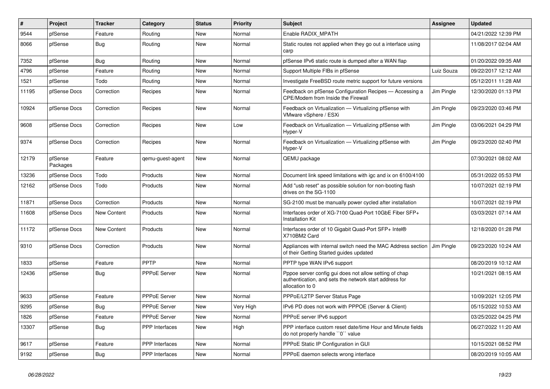| ∦     | Project             | <b>Tracker</b>     | Category              | <b>Status</b> | <b>Priority</b> | <b>Subject</b>                                                                                                                      | <b>Assignee</b> | <b>Updated</b>      |
|-------|---------------------|--------------------|-----------------------|---------------|-----------------|-------------------------------------------------------------------------------------------------------------------------------------|-----------------|---------------------|
| 9544  | pfSense             | Feature            | Routing               | <b>New</b>    | Normal          | Enable RADIX MPATH                                                                                                                  |                 | 04/21/2022 12:39 PM |
| 8066  | pfSense             | Bug                | Routing               | <b>New</b>    | Normal          | Static routes not applied when they go out a interface using<br>carp                                                                |                 | 11/08/2017 02:04 AM |
| 7352  | pfSense             | Bug                | Routing               | <b>New</b>    | Normal          | pfSense IPv6 static route is dumped after a WAN flap                                                                                |                 | 01/20/2022 09:35 AM |
| 4796  | pfSense             | Feature            | Routing               | <b>New</b>    | Normal          | Support Multiple FIBs in pfSense                                                                                                    | Luiz Souza      | 09/22/2017 12:12 AM |
| 1521  | pfSense             | Todo               | Routing               | New           | Normal          | Investigate FreeBSD route metric support for future versions                                                                        |                 | 05/12/2011 11:28 AM |
| 11195 | pfSense Docs        | Correction         | Recipes               | New           | Normal          | Feedback on pfSense Configuration Recipes - Accessing a<br>CPE/Modem from Inside the Firewall                                       | Jim Pingle      | 12/30/2020 01:13 PM |
| 10924 | pfSense Docs        | Correction         | Recipes               | <b>New</b>    | Normal          | Feedback on Virtualization - Virtualizing pfSense with<br>VMware vSphere / ESXi                                                     | Jim Pingle      | 09/23/2020 03:46 PM |
| 9608  | pfSense Docs        | Correction         | Recipes               | <b>New</b>    | Low             | Feedback on Virtualization - Virtualizing pfSense with<br>Hyper-V                                                                   | Jim Pingle      | 03/06/2021 04:29 PM |
| 9374  | pfSense Docs        | Correction         | Recipes               | New           | Normal          | Feedback on Virtualization - Virtualizing pfSense with<br>Hyper-V                                                                   | Jim Pingle      | 09/23/2020 02:40 PM |
| 12179 | pfSense<br>Packages | Feature            | gemu-guest-agent      | <b>New</b>    | Normal          | QEMU package                                                                                                                        |                 | 07/30/2021 08:02 AM |
| 13236 | pfSense Docs        | Todo               | Products              | <b>New</b>    | Normal          | Document link speed limitations with igc and ix on 6100/4100                                                                        |                 | 05/31/2022 05:53 PM |
| 12162 | pfSense Docs        | Todo               | Products              | <b>New</b>    | Normal          | Add "usb reset" as possible solution for non-booting flash<br>drives on the SG-1100                                                 |                 | 10/07/2021 02:19 PM |
| 11871 | pfSense Docs        | Correction         | Products              | New           | Normal          | SG-2100 must be manually power cycled after installation                                                                            |                 | 10/07/2021 02:19 PM |
| 11608 | pfSense Docs        | New Content        | Products              | New           | Normal          | Interfaces order of XG-7100 Quad-Port 10GbE Fiber SFP+<br>Installation Kit                                                          |                 | 03/03/2021 07:14 AM |
| 11172 | pfSense Docs        | <b>New Content</b> | Products              | <b>New</b>    | Normal          | Interfaces order of 10 Gigabit Quad-Port SFP+ Intel®<br>X710BM2 Card                                                                |                 | 12/18/2020 01:28 PM |
| 9310  | pfSense Docs        | Correction         | Products              | <b>New</b>    | Normal          | Appliances with internal switch need the MAC Address section<br>of their Getting Started guides updated                             | Jim Pingle      | 09/23/2020 10:24 AM |
| 1833  | pfSense             | Feature            | PPTP                  | <b>New</b>    | Normal          | PPTP type WAN IPv6 support                                                                                                          |                 | 08/20/2019 10:12 AM |
| 12436 | pfSense             | Bug                | <b>PPPoE Server</b>   | New           | Normal          | Pppoe server config gui does not allow setting of chap<br>authentication, and sets the network start address for<br>allocation to 0 |                 | 10/21/2021 08:15 AM |
| 9633  | pfSense             | Feature            | <b>PPPoE Server</b>   | <b>New</b>    | Normal          | PPPoE/L2TP Server Status Page                                                                                                       |                 | 10/09/2021 12:05 PM |
| 9295  | pfSense             | <b>Bug</b>         | <b>PPPoE Server</b>   | <b>New</b>    | Very High       | IPv6 PD does not work with PPPOE (Server & Client)                                                                                  |                 | 05/15/2022 10:53 AM |
| 1826  | pfSense             | Feature            | <b>PPPoE Server</b>   | <b>New</b>    | Normal          | PPPoE server IPv6 support                                                                                                           |                 | 03/25/2022 04:25 PM |
| 13307 | pfSense             | Bug                | <b>PPP</b> Interfaces | <b>New</b>    | High            | PPP interface custom reset date/time Hour and Minute fields<br>do not properly handle "0" value                                     |                 | 06/27/2022 11:20 AM |
| 9617  | pfSense             | Feature            | <b>PPP</b> Interfaces | <b>New</b>    | Normal          | PPPoE Static IP Configuration in GUI                                                                                                |                 | 10/15/2021 08:52 PM |
| 9192  | pfSense             | <b>Bug</b>         | PPP Interfaces        | <b>New</b>    | Normal          | PPPoE daemon selects wrong interface                                                                                                |                 | 08/20/2019 10:05 AM |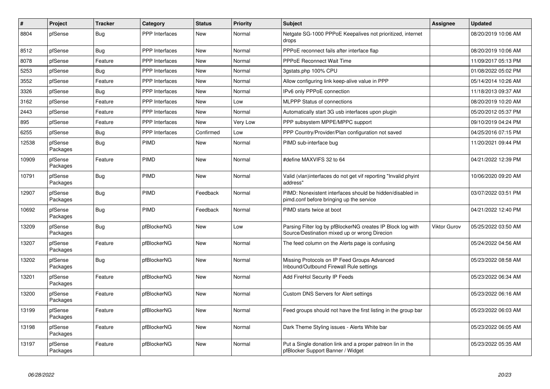| $\vert$ # | Project             | <b>Tracker</b> | Category              | <b>Status</b> | <b>Priority</b> | <b>Subject</b>                                                                                               | Assignee            | <b>Updated</b>      |
|-----------|---------------------|----------------|-----------------------|---------------|-----------------|--------------------------------------------------------------------------------------------------------------|---------------------|---------------------|
| 8804      | pfSense             | Bug            | <b>PPP</b> Interfaces | <b>New</b>    | Normal          | Netgate SG-1000 PPPoE Keepalives not prioritized, internet<br>drops                                          |                     | 08/20/2019 10:06 AM |
| 8512      | pfSense             | Bug            | <b>PPP</b> Interfaces | New           | Normal          | PPPoE reconnect fails after interface flap                                                                   |                     | 08/20/2019 10:06 AM |
| 8078      | pfSense             | Feature        | <b>PPP</b> Interfaces | New           | Normal          | <b>PPPoE Reconnect Wait Time</b>                                                                             |                     | 11/09/2017 05:13 PM |
| 5253      | pfSense             | <b>Bug</b>     | PPP Interfaces        | <b>New</b>    | Normal          | 3qstats.php 100% CPU                                                                                         |                     | 01/08/2022 05:02 PM |
| 3552      | pfSense             | Feature        | <b>PPP</b> Interfaces | New           | Normal          | Allow configuring link keep-alive value in PPP                                                               |                     | 05/14/2014 10:26 AM |
| 3326      | pfSense             | Bug            | <b>PPP</b> Interfaces | <b>New</b>    | Normal          | IPv6 only PPPoE connection                                                                                   |                     | 11/18/2013 09:37 AM |
| 3162      | pfSense             | Feature        | PPP Interfaces        | New           | Low             | <b>MLPPP Status of connections</b>                                                                           |                     | 08/20/2019 10:20 AM |
| 2443      | pfSense             | Feature        | PPP Interfaces        | <b>New</b>    | Normal          | Automatically start 3G usb interfaces upon plugin                                                            |                     | 05/20/2012 05:37 PM |
| 895       | pfSense             | Feature        | <b>PPP</b> Interfaces | <b>New</b>    | Very Low        | PPP subsystem MPPE/MPPC support                                                                              |                     | 09/10/2019 04:24 PM |
| 6255      | pfSense             | Bug            | PPP Interfaces        | Confirmed     | Low             | PPP Country/Provider/Plan configuration not saved                                                            |                     | 04/25/2016 07:15 PM |
| 12538     | pfSense<br>Packages | Bug            | <b>PIMD</b>           | New           | Normal          | PIMD sub-interface bug                                                                                       |                     | 11/20/2021 09:44 PM |
| 10909     | pfSense<br>Packages | Feature        | PIMD                  | New           | Normal          | #define MAXVIFS 32 to 64                                                                                     |                     | 04/21/2022 12:39 PM |
| 10791     | pfSense<br>Packages | Bug            | PIMD                  | <b>New</b>    | Normal          | Valid (vlan)interfaces do not get vif reporting "Invalid phyint<br>address"                                  |                     | 10/06/2020 09:20 AM |
| 12907     | pfSense<br>Packages | Bug            | PIMD                  | Feedback      | Normal          | PIMD: Nonexistent interfaces should be hidden/disabled in<br>pimd.conf before bringing up the service        |                     | 03/07/2022 03:51 PM |
| 10692     | pfSense<br>Packages | Bug            | PIMD                  | Feedback      | Normal          | PIMD starts twice at boot                                                                                    |                     | 04/21/2022 12:40 PM |
| 13209     | pfSense<br>Packages | Bug            | pfBlockerNG           | <b>New</b>    | Low             | Parsing Filter log by pfBlockerNG creates IP Block log with<br>Source/Destination mixed up or wrong Direcion | <b>Viktor Gurov</b> | 05/25/2022 03:50 AM |
| 13207     | pfSense<br>Packages | Feature        | pfBlockerNG           | <b>New</b>    | Normal          | The feed column on the Alerts page is confusing                                                              |                     | 05/24/2022 04:56 AM |
| 13202     | pfSense<br>Packages | <b>Bug</b>     | pfBlockerNG           | New           | Normal          | Missing Protocols on IP Feed Groups Advanced<br>Inbound/Outbound Firewall Rule settings                      |                     | 05/23/2022 08:58 AM |
| 13201     | pfSense<br>Packages | Feature        | pfBlockerNG           | New           | Normal          | Add FireHol Security IP Feeds                                                                                |                     | 05/23/2022 06:34 AM |
| 13200     | pfSense<br>Packages | Feature        | pfBlockerNG           | New           | Normal          | Custom DNS Servers for Alert settings                                                                        |                     | 05/23/2022 06:16 AM |
| 13199     | pfSense<br>Packages | Feature        | pfBlockerNG           | New           | Normal          | Feed groups should not have the first listing in the group bar                                               |                     | 05/23/2022 06:03 AM |
| 13198     | pfSense<br>Packages | Feature        | pfBlockerNG           | New           | Normal          | Dark Theme Styling issues - Alerts White bar                                                                 |                     | 05/23/2022 06:05 AM |
| 13197     | pfSense<br>Packages | Feature        | pfBlockerNG           | <b>New</b>    | Normal          | Put a Single donation link and a proper patreon lin in the<br>pfBlocker Support Banner / Widget              |                     | 05/23/2022 05:35 AM |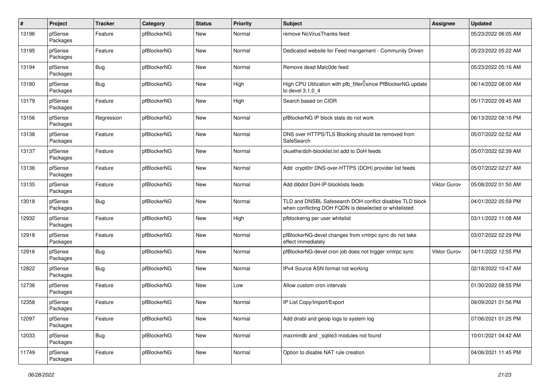| $\pmb{\#}$ | Project             | <b>Tracker</b> | Category    | <b>Status</b> | <b>Priority</b> | <b>Subject</b>                                                                                                     | Assignee     | <b>Updated</b>      |
|------------|---------------------|----------------|-------------|---------------|-----------------|--------------------------------------------------------------------------------------------------------------------|--------------|---------------------|
| 13196      | pfSense<br>Packages | Feature        | pfBlockerNG | New           | Normal          | remove NoVirusThanks feed                                                                                          |              | 05/23/2022 06:05 AM |
| 13195      | pfSense<br>Packages | Feature        | pfBlockerNG | New           | Normal          | Dedicated website for Feed mangement - Community Driven                                                            |              | 05/23/2022 05:22 AM |
| 13194      | pfSense<br>Packages | <b>Bug</b>     | pfBlockerNG | New           | Normal          | Remove dead Malc0de feed                                                                                           |              | 05/23/2022 05:16 AM |
| 13180      | pfSense<br>Packages | Bug            | pfBlockerNG | New           | High            | High CPU Utilization with pfb_filter <sup>[]</sup> since PfBlockerNG update<br>to devel 3.1.0 4                    |              | 06/14/2022 08:00 AM |
| 13179      | pfSense<br>Packages | Feature        | pfBlockerNG | New           | High            | Search based on CIDR                                                                                               |              | 05/17/2022 09:45 AM |
| 13156      | pfSense<br>Packages | Regression     | pfBlockerNG | New           | Normal          | pfBlockerNG IP block stats do not work                                                                             |              | 06/13/2022 08:16 PM |
| 13138      | pfSense<br>Packages | Feature        | pfBlockerNG | New           | Normal          | DNS over HTTPS/TLS Blocking should be removed from<br>SafeSearch                                                   |              | 05/07/2022 02:52 AM |
| 13137      | pfSense<br>Packages | Feature        | pfBlockerNG | New           | Normal          | ckuethe/doh-blocklist.txt add to DoH feeds                                                                         |              | 05/07/2022 02:39 AM |
| 13136      | pfSense<br>Packages | Feature        | pfBlockerNG | New           | Normal          | Add crypt0rr DNS-over-HTTPS (DOH) provider list feeds                                                              |              | 05/07/2022 02:27 AM |
| 13135      | pfSense<br>Packages | Feature        | pfBlockerNG | New           | Normal          | Add dibdot DoH-IP-blocklists feeds                                                                                 | Viktor Gurov | 05/08/2022 01:50 AM |
| 13018      | pfSense<br>Packages | <b>Bug</b>     | pfBlockerNG | New           | Normal          | TLD and DNSBL Safesearch DOH conflict disables TLD block<br>when conflicting DOH FQDN is deselected or whitelisted |              | 04/01/2022 05:59 PM |
| 12932      | pfSense<br>Packages | Feature        | pfBlockerNG | New           | High            | pfblockerng per user whitelist                                                                                     |              | 03/11/2022 11:08 AM |
| 12918      | pfSense<br>Packages | Feature        | pfBlockerNG | New           | Normal          | pfBlockerNG-devel changes from xmlrpc sync do not take<br>effect immediately                                       |              | 03/07/2022 02:29 PM |
| 12916      | pfSense<br>Packages | <b>Bug</b>     | pfBlockerNG | New           | Normal          | pfBlockerNG-devel cron job does not trigger xmlrpc sync                                                            | Viktor Gurov | 04/11/2022 12:55 PM |
| 12822      | pfSense<br>Packages | <b>Bug</b>     | pfBlockerNG | New           | Normal          | IPv4 Source ASN format not working                                                                                 |              | 02/18/2022 10:47 AM |
| 12736      | pfSense<br>Packages | Feature        | pfBlockerNG | New           | Low             | Allow custom cron intervals                                                                                        |              | 01/30/2022 08:55 PM |
| 12358      | pfSense<br>Packages | Feature        | pfBlockerNG | New           | Normal          | IP List Copy/Import/Export                                                                                         |              | 09/09/2021 01:56 PM |
| 12097      | pfSense<br>Packages | Feature        | pfBlockerNG | New           | Normal          | Add dnsbl and geoip logs to system log                                                                             |              | 07/06/2021 01:25 PM |
| 12033      | pfSense<br>Packages | Bug            | pfBlockerNG | <b>New</b>    | Normal          | maxmindb and _sqlite3 modules not found                                                                            |              | 10/01/2021 04:42 AM |
| 11749      | pfSense<br>Packages | Feature        | pfBlockerNG | New           | Normal          | Option to disable NAT rule creation                                                                                |              | 04/06/2021 11:45 PM |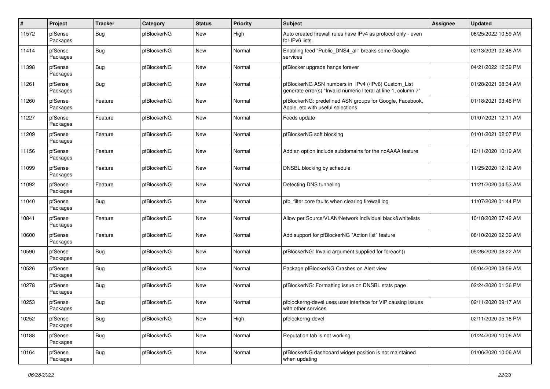| $\pmb{\#}$ | Project             | <b>Tracker</b> | Category    | <b>Status</b> | <b>Priority</b> | <b>Subject</b>                                                                                                         | Assignee | <b>Updated</b>      |
|------------|---------------------|----------------|-------------|---------------|-----------------|------------------------------------------------------------------------------------------------------------------------|----------|---------------------|
| 11572      | pfSense<br>Packages | <b>Bug</b>     | pfBlockerNG | New           | High            | Auto created firewall rules have IPv4 as protocol only - even<br>for IPv6 lists.                                       |          | 06/25/2022 10:59 AM |
| 11414      | pfSense<br>Packages | <b>Bug</b>     | pfBlockerNG | New           | Normal          | Enabling feed "Public_DNS4_all" breaks some Google<br>services                                                         |          | 02/13/2021 02:46 AM |
| 11398      | pfSense<br>Packages | <b>Bug</b>     | pfBlockerNG | <b>New</b>    | Normal          | pfBlocker upgrade hangs forever                                                                                        |          | 04/21/2022 12:39 PM |
| 11261      | pfSense<br>Packages | Bug            | pfBlockerNG | New           | Normal          | pfBlockerNG ASN numbers in IPv4 (/IPv6) Custom_List<br>generate error(s) "Invalid numeric literal at line 1, column 7" |          | 01/28/2021 08:34 AM |
| 11260      | pfSense<br>Packages | Feature        | pfBlockerNG | New           | Normal          | pfBlockerNG: predefined ASN groups for Google, Facebook,<br>Apple, etc with useful selections                          |          | 01/18/2021 03:46 PM |
| 11227      | pfSense<br>Packages | Feature        | pfBlockerNG | New           | Normal          | Feeds update                                                                                                           |          | 01/07/2021 12:11 AM |
| 11209      | pfSense<br>Packages | Feature        | pfBlockerNG | New           | Normal          | pfBlockerNG soft blocking                                                                                              |          | 01/01/2021 02:07 PM |
| 11156      | pfSense<br>Packages | Feature        | pfBlockerNG | New           | Normal          | Add an option include subdomains for the noAAAA feature                                                                |          | 12/11/2020 10:19 AM |
| 11099      | pfSense<br>Packages | Feature        | pfBlockerNG | New           | Normal          | DNSBL blocking by schedule                                                                                             |          | 11/25/2020 12:12 AM |
| 11092      | pfSense<br>Packages | Feature        | pfBlockerNG | New           | Normal          | Detecting DNS tunneling                                                                                                |          | 11/21/2020 04:53 AM |
| 11040      | pfSense<br>Packages | <b>Bug</b>     | pfBlockerNG | New           | Normal          | pfb filter core faults when clearing firewall log                                                                      |          | 11/07/2020 01:44 PM |
| 10841      | pfSense<br>Packages | Feature        | pfBlockerNG | New           | Normal          | Allow per Source/VLAN/Network individual black&whitelists                                                              |          | 10/18/2020 07:42 AM |
| 10600      | pfSense<br>Packages | Feature        | pfBlockerNG | New           | Normal          | Add support for pfBlockerNG "Action list" feature                                                                      |          | 08/10/2020 02:39 AM |
| 10590      | pfSense<br>Packages | Bug            | pfBlockerNG | New           | Normal          | pfBlockerNG: Invalid argument supplied for foreach()                                                                   |          | 05/26/2020 08:22 AM |
| 10526      | pfSense<br>Packages | <b>Bug</b>     | pfBlockerNG | New           | Normal          | Package pfBlockerNG Crashes on Alert view                                                                              |          | 05/04/2020 08:59 AM |
| 10278      | pfSense<br>Packages | <b>Bug</b>     | pfBlockerNG | New           | Normal          | pfBlockerNG: Formatting issue on DNSBL stats page                                                                      |          | 02/24/2020 01:36 PM |
| 10253      | pfSense<br>Packages | <b>Bug</b>     | pfBlockerNG | New           | Normal          | pfblockerng-devel uses user interface for VIP causing issues<br>with other services                                    |          | 02/11/2020 09:17 AM |
| 10252      | pfSense<br>Packages | <b>Bug</b>     | pfBlockerNG | <b>New</b>    | High            | pfblockerng-devel                                                                                                      |          | 02/11/2020 05:18 PM |
| 10188      | pfSense<br>Packages | <b>Bug</b>     | pfBlockerNG | New           | Normal          | Reputation tab is not working                                                                                          |          | 01/24/2020 10:06 AM |
| 10164      | pfSense<br>Packages | Bug            | pfBlockerNG | New           | Normal          | pfBlockerNG dashboard widget position is not maintained<br>when updating                                               |          | 01/06/2020 10:06 AM |